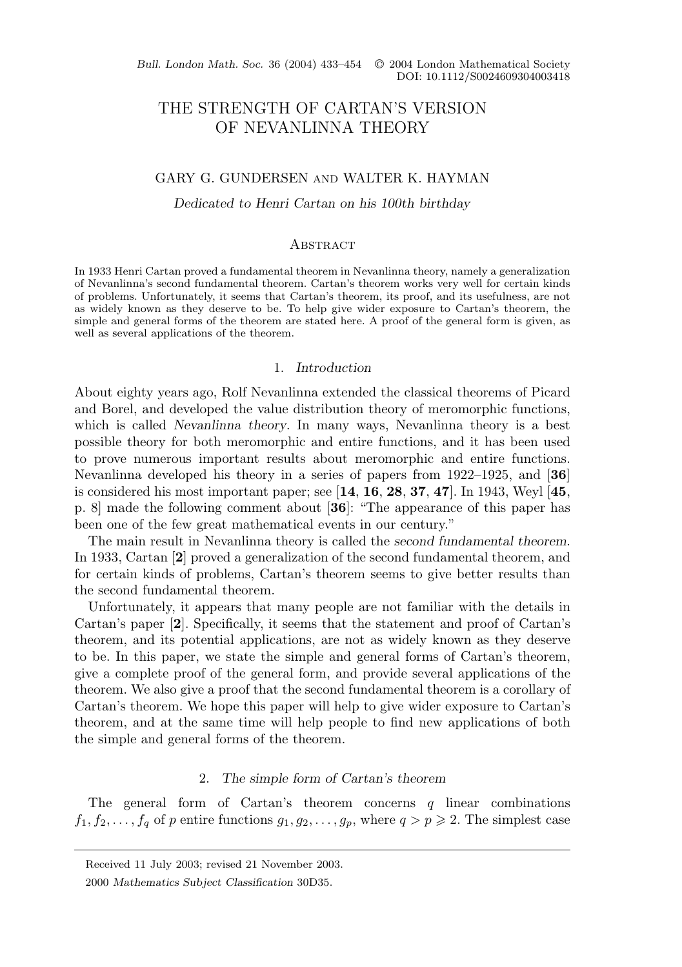Bull. London Math. Soc. 36 (2004) 433-454 © 2004 London Mathematical Society DOI: 10.1112/S0024609304003418

# THE STRENGTH OF CARTAN'S VERSION OF NEVANLINNA THEORY

# GARY G. GUNDERSEN and WALTER K. HAYMAN

*Dedicated to Henri Cartan on his 100th birthday*

#### **ABSTRACT**

In 1933 Henri Cartan proved a fundamental theorem in Nevanlinna theory, namely a generalization of Nevanlinna's second fundamental theorem. Cartan's theorem works very well for certain kinds of problems. Unfortunately, it seems that Cartan's theorem, its proof, and its usefulness, are not as widely known as they deserve to be. To help give wider exposure to Cartan's theorem, the simple and general forms of the theorem are stated here. A proof of the general form is given, as well as several applications of the theorem.

## 1. *Introduction*

About eighty years ago, Rolf Nevanlinna extended the classical theorems of Picard and Borel, and developed the value distribution theory of meromorphic functions, which is called *Nevanlinna theory*. In many ways, Nevanlinna theory is a best possible theory for both meromorphic and entire functions, and it has been used to prove numerous important results about meromorphic and entire functions. Nevanlinna developed his theory in a series of papers from 1922–1925, and [**36**] is considered his most important paper; see [**14**, **16**, **28**, **37**, **47**]. In 1943, Weyl [**45**, p. 8] made the following comment about [**36**]: "The appearance of this paper has been one of the few great mathematical events in our century."

The main result in Nevanlinna theory is called the *second fundamental theorem*. In 1933, Cartan [**2**] proved a generalization of the second fundamental theorem, and for certain kinds of problems, Cartan's theorem seems to give better results than the second fundamental theorem.

Unfortunately, it appears that many people are not familiar with the details in Cartan's paper [**2**]. Specifically, it seems that the statement and proof of Cartan's theorem, and its potential applications, are not as widely known as they deserve to be. In this paper, we state the simple and general forms of Cartan's theorem, give a complete proof of the general form, and provide several applications of the theorem. We also give a proof that the second fundamental theorem is a corollary of Cartan's theorem. We hope this paper will help to give wider exposure to Cartan's theorem, and at the same time will help people to find new applications of both the simple and general forms of the theorem.

#### 2. *The simple form of Cartan's theorem*

The general form of Cartan's theorem concerns  $q$  linear combinations  $f_1, f_2, \ldots, f_q$  of p entire functions  $g_1, g_2, \ldots, g_p$ , where  $q > p \geq 2$ . The simplest case

Received 11 July 2003; revised 21 November 2003.

<sup>2000</sup> *Mathematics Subject Classification* 30D35.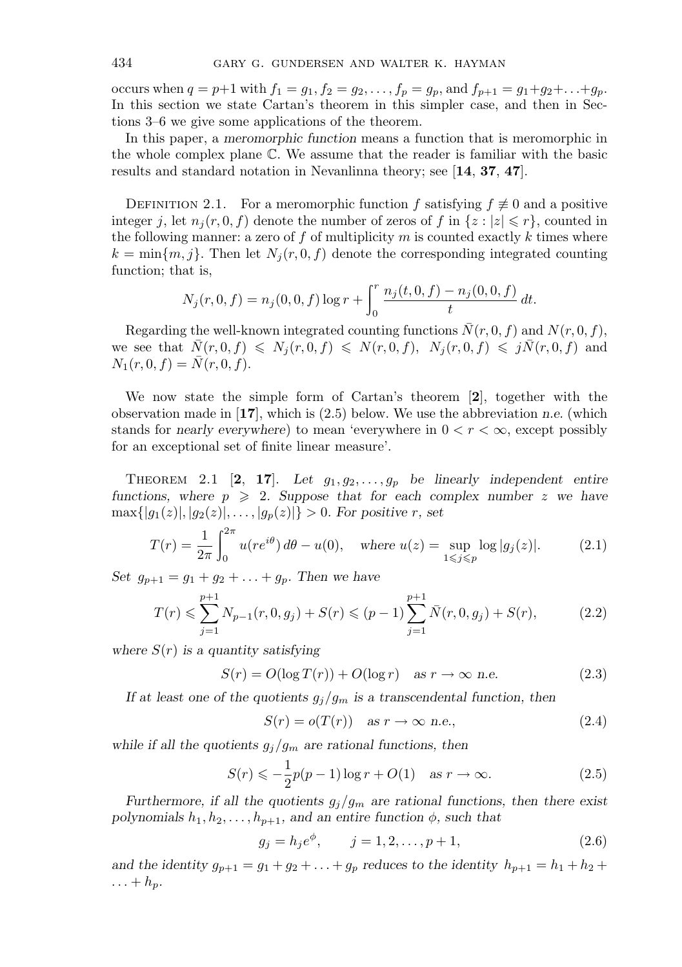occurs when  $q = p+1$  with  $f_1 = g_1, f_2 = g_2, \ldots, f_p = g_p$ , and  $f_{p+1} = g_1 + g_2 + \ldots + g_p$ . In this section we state Cartan's theorem in this simpler case, and then in Sections 3–6 we give some applications of the theorem.

In this paper, a *meromorphic function* means a function that is meromorphic in the whole complex plane C. We assume that the reader is familiar with the basic results and standard notation in Nevanlinna theory; see [**14**, **37**, **47**].

DEFINITION 2.1. For a meromorphic function f satisfying  $f \not\equiv 0$  and a positive integer j, let  $n_j(r, 0, f)$  denote the number of zeros of f in  $\{z : |z| \leq r\}$ , counted in the following manner: a zero of f of multiplicity  $m$  is counted exactly  $k$  times where  $k = \min\{m, j\}$ . Then let  $N_i(r, 0, f)$  denote the corresponding integrated counting function; that is,

$$
N_j(r, 0, f) = n_j(0, 0, f) \log r + \int_0^r \frac{n_j(t, 0, f) - n_j(0, 0, f)}{t} dt.
$$

Regarding the well-known integrated counting functions  $\bar{N}(r, 0, f)$  and  $N(r, 0, f)$ , we see that  $\bar{N}(r, 0, f) \leq N_j(r, 0, f) \leq N(r, 0, f), N_j(r, 0, f) \leq j\bar{N}(r, 0, f)$  and  $N_1(r, 0, f) = N(r, 0, f).$ 

We now state the simple form of Cartan's theorem [**2**], together with the observation made in [**17**], which is (2.5) below. We use the abbreviation *n.e.* (which stands for *nearly everywhere*) to mean 'everywhere in  $0 < r < \infty$ , except possibly for an exceptional set of finite linear measure'.

THEOREM 2.1 [2, 17]. Let  $g_1, g_2, \ldots, g_p$  be linearly independent entire *functions, where*  $p \ge 2$ *. Suppose that for each complex number* z *we have*  $\max\{|g_1(z)|, |g_2(z)|, \ldots, |g_p(z)|\} > 0$ *. For positive r, set* 

$$
T(r) = \frac{1}{2\pi} \int_0^{2\pi} u(re^{i\theta}) \, d\theta - u(0), \quad \text{where } u(z) = \sup_{1 \le j \le p} \log|g_j(z)|. \tag{2.1}
$$

*Set*  $g_{p+1} = g_1 + g_2 + \ldots + g_p$ *. Then we have* 

$$
T(r) \leqslant \sum_{j=1}^{p+1} N_{p-1}(r, 0, g_j) + S(r) \leqslant (p-1) \sum_{j=1}^{p+1} \bar{N}(r, 0, g_j) + S(r), \tag{2.2}
$$

*where* S(r) *is a quantity satisfying*

$$
S(r) = O(\log T(r)) + O(\log r) \quad \text{as } r \to \infty \text{ n.e.}
$$
 (2.3)

*If at least one of the quotients*  $g_j/g_m$  *is a transcendental function, then* 

$$
S(r) = o(T(r)) \quad \text{as } r \to \infty \text{ n.e.,}
$$
\n
$$
(2.4)
$$

*while if all the quotients*  $g_j/g_m$  *are rational functions, then* 

$$
S(r) \leqslant -\frac{1}{2}p(p-1)\log r + O(1) \quad \text{as } r \to \infty. \tag{2.5}
$$

*Furthermore, if all the quotients*  $g_j/g_m$  *are rational functions, then there exist polynomials*  $h_1, h_2, \ldots, h_{p+1}$ , and an entire function  $\phi$ , such that

$$
g_j = h_j e^{\phi}, \qquad j = 1, 2, \dots, p + 1,
$$
\n(2.6)

*and the identity*  $g_{p+1} = g_1 + g_2 + \ldots + g_p$  *reduces to the identity*  $h_{p+1} = h_1 + h_2 +$  $\ldots + h_p$ .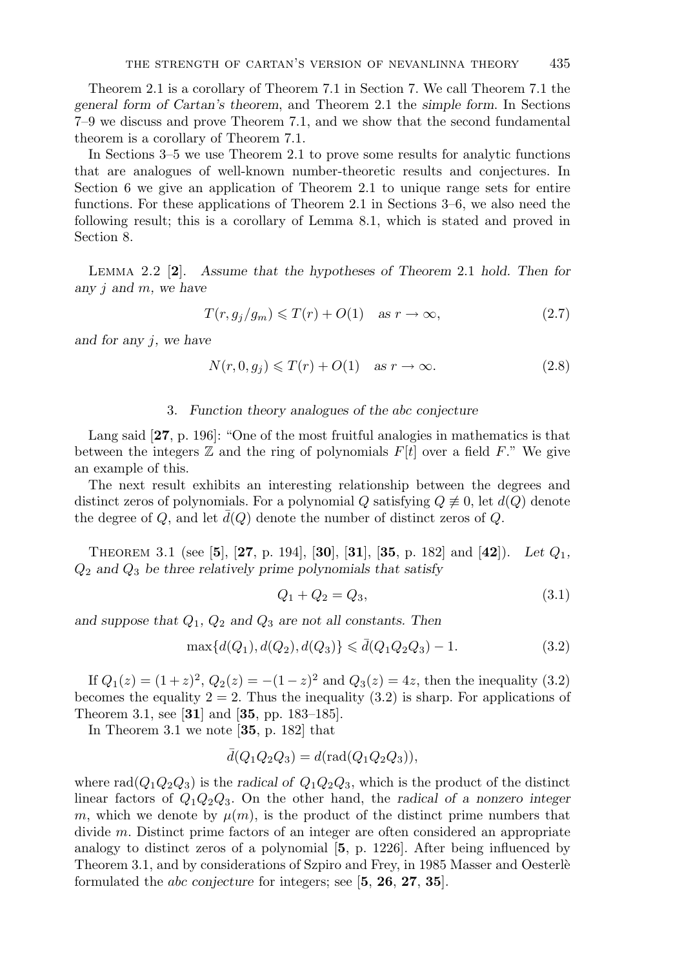Theorem 2.1 is a corollary of Theorem 7.1 in Section 7. We call Theorem 7.1 the *general form of Cartan's theorem*, and Theorem 2.1 the *simple form*. In Sections 7–9 we discuss and prove Theorem 7.1, and we show that the second fundamental theorem is a corollary of Theorem 7.1.

In Sections 3–5 we use Theorem 2.1 to prove some results for analytic functions that are analogues of well-known number-theoretic results and conjectures. In Section 6 we give an application of Theorem 2.1 to unique range sets for entire functions. For these applications of Theorem 2.1 in Sections 3–6, we also need the following result; this is a corollary of Lemma 8.1, which is stated and proved in Section 8.

Lemma 2.2 [**2**]. *Assume that the hypotheses of Theorem* 2.1 *hold. Then for any* j *and* m*, we have*

$$
T(r, g_j/g_m) \leq T(r) + O(1) \quad \text{as } r \to \infty,
$$
\n(2.7)

*and for any* j*, we have*

$$
N(r, 0, g_j) \le T(r) + O(1) \quad \text{as } r \to \infty. \tag{2.8}
$$

## 3. *Function theory analogues of the* abc *conjecture*

Lang said [**27**, p. 196]: "One of the most fruitful analogies in mathematics is that between the integers  $\mathbb Z$  and the ring of polynomials  $F[t]$  over a field F." We give an example of this.

The next result exhibits an interesting relationship between the degrees and distinct zeros of polynomials. For a polynomial Q satisfying  $Q \neq 0$ , let  $d(Q)$  denote the degree of Q, and let  $\bar{d}(Q)$  denote the number of distinct zeros of Q.

THEOREM 3.1 (see [5], [27, p. 194], [30], [31], [35, p. 182] and [42]). Let  $Q_1$ , Q<sup>2</sup> *and* Q<sup>3</sup> *be three relatively prime polynomials that satisfy*

$$
Q_1 + Q_2 = Q_3,\t\t(3.1)
$$

*and suppose that* Q1*,* Q<sup>2</sup> *and* Q<sup>3</sup> *are not all constants. Then*

$$
\max\{d(Q_1), d(Q_2), d(Q_3)\} \le \bar{d}(Q_1 Q_2 Q_3) - 1.
$$
\n(3.2)

If  $Q_1(z) = (1+z)^2$ ,  $Q_2(z) = -(1-z)^2$  and  $Q_3(z) = 4z$ , then the inequality (3.2) becomes the equality  $2 = 2$ . Thus the inequality  $(3.2)$  is sharp. For applications of Theorem 3.1, see [**31**] and [**35**, pp. 183–185].

In Theorem 3.1 we note [**35**, p. 182] that

$$
\bar{d}(Q_1Q_2Q_3) = d(\text{rad}(Q_1Q_2Q_3)),
$$

where  $\text{rad}(Q_1Q_2Q_3)$  is the *radical of*  $Q_1Q_2Q_3$ , which is the product of the distinct linear factors of Q1Q2Q3. On the other hand, the *radical of a nonzero integer* m, which we denote by  $\mu(m)$ , is the product of the distinct prime numbers that divide m. Distinct prime factors of an integer are often considered an appropriate analogy to distinct zeros of a polynomial [**5**, p. 1226]. After being influenced by Theorem 3.1, and by considerations of Szpiro and Frey, in 1985 Masser and Oesterlè formulated the abc *conjecture* for integers; see [**5**, **26**, **27**, **35**].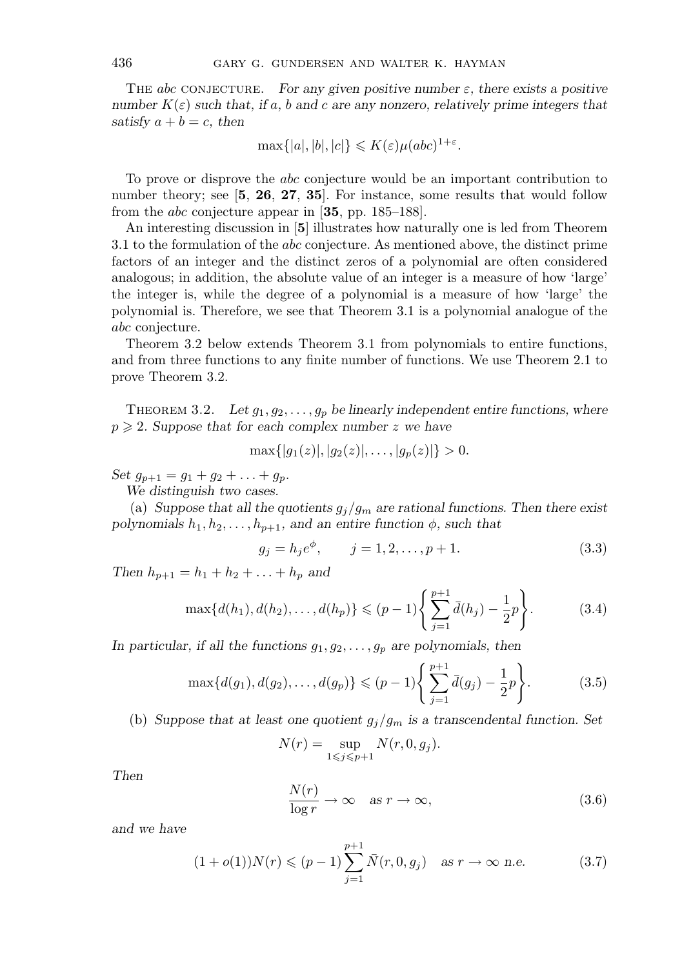The abc conjecture. *For any given positive number* ε*, there exists a positive number*  $K(\varepsilon)$  *such that, if* a*,* b and c are any nonzero, relatively prime integers that *satisfy*  $a + b = c$ *, then* 

$$
\max\{|a|, |b|, |c|\} \le K(\varepsilon) \mu(abc)^{1+\varepsilon}.
$$

To prove or disprove the abc conjecture would be an important contribution to number theory; see [**5**, **26**, **27**, **35**]. For instance, some results that would follow from the abc conjecture appear in [**35**, pp. 185–188].

An interesting discussion in [**5**] illustrates how naturally one is led from Theorem 3.1 to the formulation of the abc conjecture. As mentioned above, the distinct prime factors of an integer and the distinct zeros of a polynomial are often considered analogous; in addition, the absolute value of an integer is a measure of how 'large' the integer is, while the degree of a polynomial is a measure of how 'large' the polynomial is. Therefore, we see that Theorem 3.1 is a polynomial analogue of the abc conjecture.

Theorem 3.2 below extends Theorem 3.1 from polynomials to entire functions, and from three functions to any finite number of functions. We use Theorem 2.1 to prove Theorem 3.2.

THEOREM 3.2. Let  $g_1, g_2, \ldots, g_p$  be linearly independent entire functions, where  $p \geqslant 2$ . Suppose that for each complex number z we have

$$
\max\{|g_1(z)|, |g_2(z)|, \ldots, |g_p(z)|\} > 0.
$$

*Set*  $g_{p+1} = g_1 + g_2 + \ldots + g_p$ *.* 

*We distinguish two cases.*

(a) *Suppose that all the quotients*  $g_j/g_m$  *are rational functions. Then there exist polynomials*  $h_1, h_2, \ldots, h_{p+1}$ , and an entire function  $\phi$ , such that

$$
g_j = h_j e^{\phi}, \qquad j = 1, 2, \dots, p + 1. \tag{3.3}
$$

*Then*  $h_{p+1} = h_1 + h_2 + \ldots + h_p$  *and* 

$$
\max\{d(h_1), d(h_2), \dots, d(h_p)\} \le (p-1) \left\{ \sum_{j=1}^{p+1} \bar{d}(h_j) - \frac{1}{2}p \right\}.
$$
 (3.4)

In particular, if all the functions  $g_1, g_2, \ldots, g_p$  are polynomials, then

$$
\max\{d(g_1), d(g_2), \dots, d(g_p)\} \le (p-1) \left\{ \sum_{j=1}^{p+1} \bar{d}(g_j) - \frac{1}{2}p \right\}.
$$
 (3.5)

(b) *Suppose that at least one quotient*  $g_j/g_m$  *is a transcendental function. Set* 

$$
N(r) = \sup_{1 \leq j \leq p+1} N(r, 0, g_j).
$$

*Then*

$$
\frac{N(r)}{\log r} \to \infty \quad \text{as } r \to \infty,
$$
\n(3.6)

*and we have*

$$
(1 + o(1))N(r) \le (p - 1)\sum_{j=1}^{p+1} \bar{N}(r, 0, g_j) \quad \text{as } r \to \infty \text{ n.e.}
$$
 (3.7)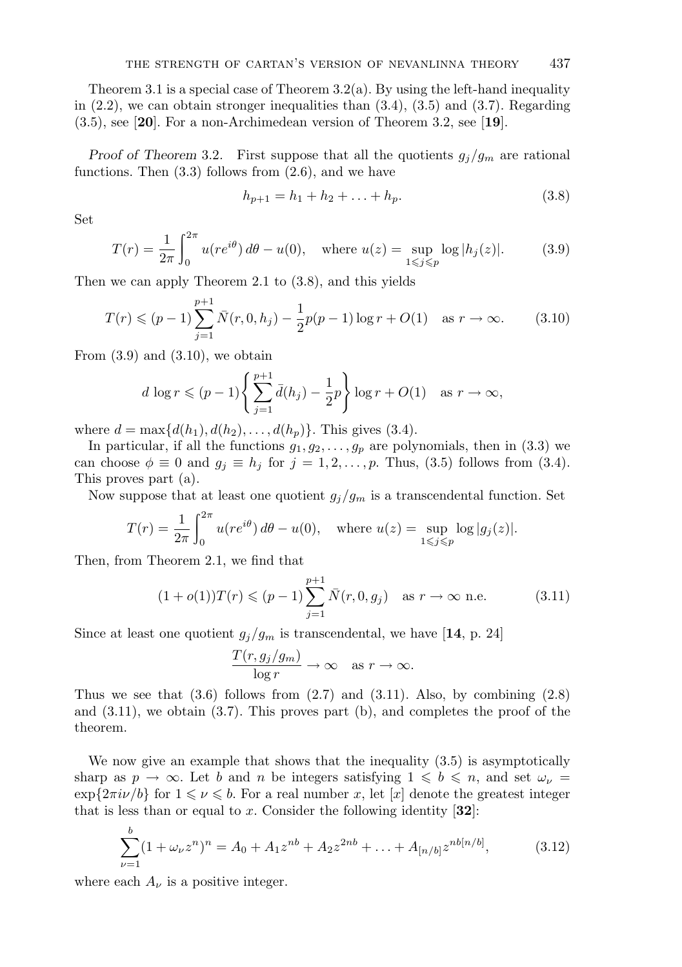Theorem 3.1 is a special case of Theorem  $3.2(a)$ . By using the left-hand inequality in  $(2.2)$ , we can obtain stronger inequalities than  $(3.4)$ ,  $(3.5)$  and  $(3.7)$ . Regarding (3.5), see [**20**]. For a non-Archimedean version of Theorem 3.2, see [**19**].

*Proof of Theorem* 3.2. First suppose that all the quotients  $g_j/g_m$  are rational functions. Then  $(3.3)$  follows from  $(2.6)$ , and we have

$$
h_{p+1} = h_1 + h_2 + \ldots + h_p. \tag{3.8}
$$

Set

$$
T(r) = \frac{1}{2\pi} \int_0^{2\pi} u(re^{i\theta}) \, d\theta - u(0), \quad \text{where } u(z) = \sup_{1 \le j \le p} \log |h_j(z)|. \tag{3.9}
$$

Then we can apply Theorem 2.1 to (3.8), and this yields

$$
T(r) \le (p-1)\sum_{j=1}^{p+1} \bar{N}(r, 0, h_j) - \frac{1}{2}p(p-1)\log r + O(1) \quad \text{as } r \to \infty.
$$
 (3.10)

From  $(3.9)$  and  $(3.10)$ , we obtain

$$
d \log r \leqslant (p-1) \left\{ \sum_{j=1}^{p+1} \bar{d}(h_j) - \frac{1}{2}p \right\} \log r + O(1) \quad \text{as } r \to \infty,
$$

where  $d = \max\{d(h_1), d(h_2), \ldots, d(h_n)\}\.$  This gives (3.4).

In particular, if all the functions  $g_1, g_2, \ldots, g_p$  are polynomials, then in (3.3) we can choose  $\phi \equiv 0$  and  $g_j \equiv h_j$  for  $j = 1, 2, ..., p$ . Thus, (3.5) follows from (3.4). This proves part (a).

Now suppose that at least one quotient  $g_j/g_m$  is a transcendental function. Set

$$
T(r) = \frac{1}{2\pi} \int_0^{2\pi} u(re^{i\theta}) d\theta - u(0), \quad \text{where } u(z) = \sup_{1 \le j \le p} \log|g_j(z)|.
$$

Then, from Theorem 2.1, we find that

$$
(1 + o(1))T(r) \le (p - 1)\sum_{j=1}^{p+1} \bar{N}(r, 0, g_j) \quad \text{as } r \to \infty \text{ n.e.}
$$
 (3.11)

Since at least one quotient  $g_j/g_m$  is transcendental, we have [14, p. 24]

$$
\frac{T(r, g_j/g_m)}{\log r} \to \infty \quad \text{as } r \to \infty.
$$

Thus we see that  $(3.6)$  follows from  $(2.7)$  and  $(3.11)$ . Also, by combining  $(2.8)$ and  $(3.11)$ , we obtain  $(3.7)$ . This proves part  $(b)$ , and completes the proof of the theorem.

We now give an example that shows that the inequality (3.5) is asymptotically sharp as  $p \to \infty$ . Let b and n be integers satisfying  $1 \leqslant b \leqslant n$ , and set  $\omega_{\nu} =$  $\exp\{2\pi i\nu/b\}$  for  $1 \leq \nu \leq b$ . For a real number x, let [x] denote the greatest integer that is less than or equal to x. Consider the following identity [**32**]:

$$
\sum_{\nu=1}^{b} (1 + \omega_{\nu} z^n)^n = A_0 + A_1 z^{nb} + A_2 z^{2nb} + \ldots + A_{[n/b]} z^{nb[n/b]}, \tag{3.12}
$$

where each  $A_{\nu}$  is a positive integer.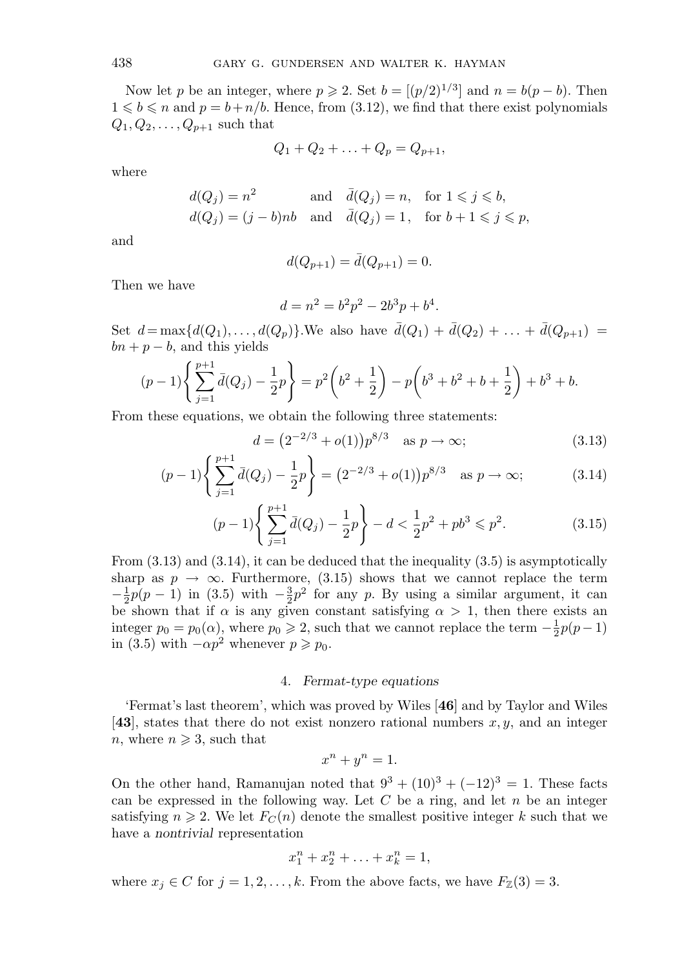Now let p be an integer, where  $p \ge 2$ . Set  $b = [(p/2)^{1/3}]$  and  $n = b(p - b)$ . Then  $1 \leq b \leq n$  and  $p = b + n/b$ . Hence, from (3.12), we find that there exist polynomials  $Q_1, Q_2, \ldots, Q_{p+1}$  such that

$$
Q_1 + Q_2 + \ldots + Q_p = Q_{p+1},
$$

where

$$
d(Q_j) = n^2 \quad \text{and} \quad \bar{d}(Q_j) = n, \quad \text{for } 1 \leq j \leq b,
$$
  

$$
d(Q_j) = (j - b)nb \quad \text{and} \quad \bar{d}(Q_j) = 1, \quad \text{for } b + 1 \leq j \leq p,
$$

and

$$
d(Q_{p+1}) = \bar{d}(Q_{p+1}) = 0.
$$

Then we have

$$
d = n^2 = b^2 p^2 - 2b^3 p + b^4.
$$

Set  $d = \max\{d(Q_1),...,d(Q_p)\}.$  We also have  $\bar{d}(Q_1) + \bar{d}(Q_2) + ... + \bar{d}(Q_{p+1}) =$  $bn + p - b$ , and this yields

$$
(p-1)\left\{\sum_{j=1}^{p+1} \bar{d}(Q_j) - \frac{1}{2}p\right\} = p^2\left(b^2 + \frac{1}{2}\right) - p\left(b^3 + b^2 + b + \frac{1}{2}\right) + b^3 + b.
$$

From these equations, we obtain the following three statements:

$$
d = (2^{-2/3} + o(1))p^{8/3} \quad \text{as } p \to \infty;
$$
 (3.13)

$$
(p-1)\left\{\sum_{j=1}^{p+1}\bar{d}(Q_j)-\frac{1}{2}p\right\}=(2^{-2/3}+o(1))p^{8/3}\quad\text{as }p\to\infty;\tag{3.14}
$$

$$
(p-1)\left\{\sum_{j=1}^{p+1} \bar{d}(Q_j) - \frac{1}{2}p\right\} - d < \frac{1}{2}p^2 + pb^3 \leq p^2. \tag{3.15}
$$

From  $(3.13)$  and  $(3.14)$ , it can be deduced that the inequality  $(3.5)$  is asymptotically sharp as  $p \to \infty$ . Furthermore, (3.15) shows that we cannot replace the term  $-\frac{1}{2}p(p-1)$  in (3.5) with  $-\frac{3}{2}p^2$  for any p. By using a similar argument, it can be shown that if  $\alpha$  is any given constant satisfying  $\alpha > 1$ , then there exists an integer  $p_0 = p_0(\alpha)$ , where  $p_0 \ge 2$ , such that we cannot replace the term  $-\frac{1}{2}p(p-1)$ in (3.5) with  $-\alpha p^2$  whenever  $p \ge p_0$ .

#### 4. *Fermat-type equations*

'Fermat's last theorem', which was proved by Wiles [**46**] and by Taylor and Wiles [43], states that there do not exist nonzero rational numbers  $x, y$ , and an integer *n*, where  $n \geqslant 3$ , such that

$$
x^n + y^n = 1.
$$

On the other hand, Ramanujan noted that  $9^3 + (10)^3 + (-12)^3 = 1$ . These facts can be expressed in the following way. Let  $C$  be a ring, and let  $n$  be an integer satisfying  $n \geq 2$ . We let  $F_C(n)$  denote the smallest positive integer k such that we have a *nontrivial* representation

$$
x_1^n + x_2^n + \ldots + x_k^n = 1,
$$

where  $x_j \in C$  for  $j = 1, 2, ..., k$ . From the above facts, we have  $F_{\mathbb{Z}}(3) = 3$ .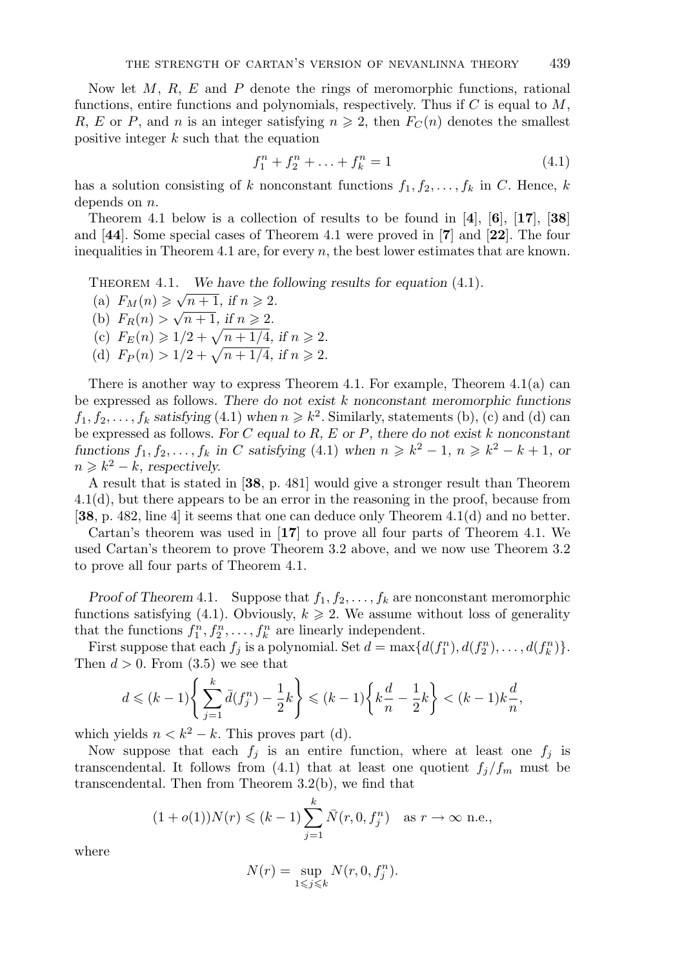Now let  $M$ ,  $R$ ,  $E$  and  $P$  denote the rings of meromorphic functions, rational functions, entire functions and polynomials, respectively. Thus if  $C$  is equal to  $M$ , R, E or P, and n is an integer satisfying  $n \geq 2$ , then  $F_C(n)$  denotes the smallest positive integer k such that the equation

$$
f_1^n + f_2^n + \ldots + f_k^n = 1 \tag{4.1}
$$

has a solution consisting of k nonconstant functions  $f_1, f_2, \ldots, f_k$  in C. Hence, k depends on *n*.

Theorem 4.1 below is a collection of results to be found in [**4**], [**6**], [**17**], [**38**] and [**44**]. Some special cases of Theorem 4.1 were proved in [**7**] and [**22**]. The four inequalities in Theorem 4.1 are, for every  $n$ , the best lower estimates that are known.

THEOREM 4.1. *We have the following results for equation* (4.1).

(a)  $F_M(n) \ge \sqrt{n+1}$ , if  $n \ge 2$ . (b)  $F_R(n) > \sqrt{n+1}$ , if  $n \ge 2$ . (c)  $F_E(n) \geq 1/2 + \sqrt{n + 1/4}$ , if  $n \geq 2$ .

(d)  $F_P(n) > 1/2 + \sqrt{n+1/4}$ , if  $n \ge 2$ .

There is another way to express Theorem 4.1. For example, Theorem 4.1(a) can be expressed as follows. *There do not exist* k *nonconstant meromorphic functions*  $f_1, f_2, \ldots, f_k$  *satisfying* (4.1) when  $n \geq k^2$ . Similarly, statements (b), (c) and (d) can be expressed as follows. *For* C *equal to* R*,* E *or* P*, there do not exist* k *nonconstant functions*  $f_1, f_2, \ldots, f_k$  *in* C *satisfying* (4.1) *when*  $n \geq k^2 - 1$ ,  $n \geq k^2 - k + 1$ , or  $n \geq k^2 - k$ , respectively.

A result that is stated in [**38**, p. 481] would give a stronger result than Theorem 4.1(d), but there appears to be an error in the reasoning in the proof, because from [**38**, p. 482, line 4] it seems that one can deduce only Theorem 4.1(d) and no better.

Cartan's theorem was used in [**17**] to prove all four parts of Theorem 4.1. We used Cartan's theorem to prove Theorem 3.2 above, and we now use Theorem 3.2 to prove all four parts of Theorem 4.1.

*Proof of Theorem 4.1.* Suppose that  $f_1, f_2, \ldots, f_k$  are nonconstant meromorphic functions satisfying (4.1). Obviously,  $k \geq 2$ . We assume without loss of generality that the functions  $f_1^n, f_2^n, \ldots, f_k^n$  are linearly independent.

First suppose that each  $f_j$  is a polynomial. Set  $d = \max\{d(f_1^n), d(f_2^n), \ldots, d(f_k^n)\}.$ Then  $d > 0$ . From  $(3.5)$  we see that

$$
d \leq (k-1) \left\{ \sum_{j=1}^{k} \bar{d}(f_j^n) - \frac{1}{2} k \right\} \leq (k-1) \left\{ k \frac{d}{n} - \frac{1}{2} k \right\} < (k-1) k \frac{d}{n},
$$

which yields  $n < k^2 - k$ . This proves part (d).

Now suppose that each  $f_i$  is an entire function, where at least one  $f_i$  is transcendental. It follows from (4.1) that at least one quotient  $f_j/f_m$  must be transcendental. Then from Theorem 3.2(b), we find that

$$
(1 + o(1))N(r) \le (k - 1)\sum_{j=1}^{k} \bar{N}(r, 0, f_j^n)
$$
 as  $r \to \infty$  n.e.,

where

$$
N(r) = \sup_{1 \le j \le k} N(r, 0, f_j^n).
$$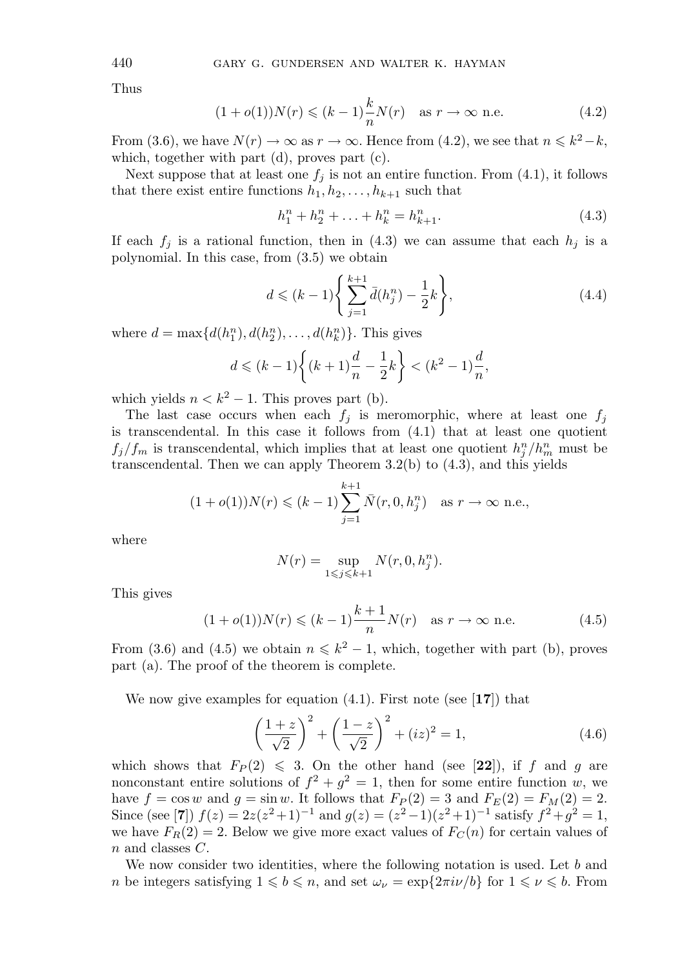Thus

$$
(1 + o(1))N(r) \le (k - 1)\frac{k}{n}N(r) \quad \text{as } r \to \infty \text{ n.e.}
$$
 (4.2)

From (3.6), we have  $N(r) \to \infty$  as  $r \to \infty$ . Hence from (4.2), we see that  $n \leq k^2 - k$ , which, together with part (d), proves part (c).

Next suppose that at least one  $f_i$  is not an entire function. From (4.1), it follows that there exist entire functions  $h_1, h_2, \ldots, h_{k+1}$  such that

$$
h_1^n + h_2^n + \ldots + h_k^n = h_{k+1}^n. \tag{4.3}
$$

If each  $f_j$  is a rational function, then in (4.3) we can assume that each  $h_j$  is a polynomial. In this case, from (3.5) we obtain

$$
d \leq (k-1) \left\{ \sum_{j=1}^{k+1} \bar{d}(h_j^n) - \frac{1}{2} k \right\},\tag{4.4}
$$

where  $d = \max\{d(h_1^n), d(h_2^n), \ldots, d(h_k^n)\}\.$  This gives

$$
d \leq (k-1)\left\{(k+1)\frac{d}{n} - \frac{1}{2}k\right\} < (k^2 - 1)\frac{d}{n},
$$

which yields  $n < k^2 - 1$ . This proves part (b).

The last case occurs when each  $f_i$  is meromorphic, where at least one  $f_i$ is transcendental. In this case it follows from (4.1) that at least one quotient  $f_j/f_m$  is transcendental, which implies that at least one quotient  $h_j^n/h_m^n$  must be transcendental. Then we can apply Theorem 3.2(b) to (4.3), and this yields

$$
(1 + o(1))N(r) \le (k - 1)\sum_{j=1}^{k+1} \bar{N}(r, 0, h_j^n) \text{ as } r \to \infty \text{ n.e.,}
$$

where

$$
N(r)=\sup_{1\leqslant j\leqslant k+1}N(r,0,h^n_j).
$$

This gives

$$
(1 + o(1))N(r) \le (k - 1)\frac{k + 1}{n}N(r) \text{ as } r \to \infty \text{ n.e.}
$$
 (4.5)

From (3.6) and (4.5) we obtain  $n \leq k^2 - 1$ , which, together with part (b), proves part (a). The proof of the theorem is complete.

We now give examples for equation (4.1). First note (see [**17**]) that

$$
\left(\frac{1+z}{\sqrt{2}}\right)^2 + \left(\frac{1-z}{\sqrt{2}}\right)^2 + (iz)^2 = 1,
$$
\n(4.6)

which shows that  $F_P(2) \leq 3$ . On the other hand (see [22]), if f and g are nonconstant entire solutions of  $f^2 + g^2 = 1$ , then for some entire function w, we have  $f = \cos w$  and  $g = \sin w$ . It follows that  $F_P(2) = 3$  and  $F_E(2) = F_M(2) = 2$ . Since (see [**7**])  $f(z)=2z(z^2+1)^{-1}$  and  $g(z)=(z^2-1)(z^2+1)^{-1}$  satisfy  $f^2+g^2=1$ , we have  $F_R(2) = 2$ . Below we give more exact values of  $F_C(n)$  for certain values of n and classes C.

We now consider two identities, where the following notation is used. Let  $b$  and *n* be integers satisfying  $1 \leq b \leq n$ , and set  $\omega_{\nu} = \exp\{2\pi i \nu/b\}$  for  $1 \leq \nu \leq b$ . From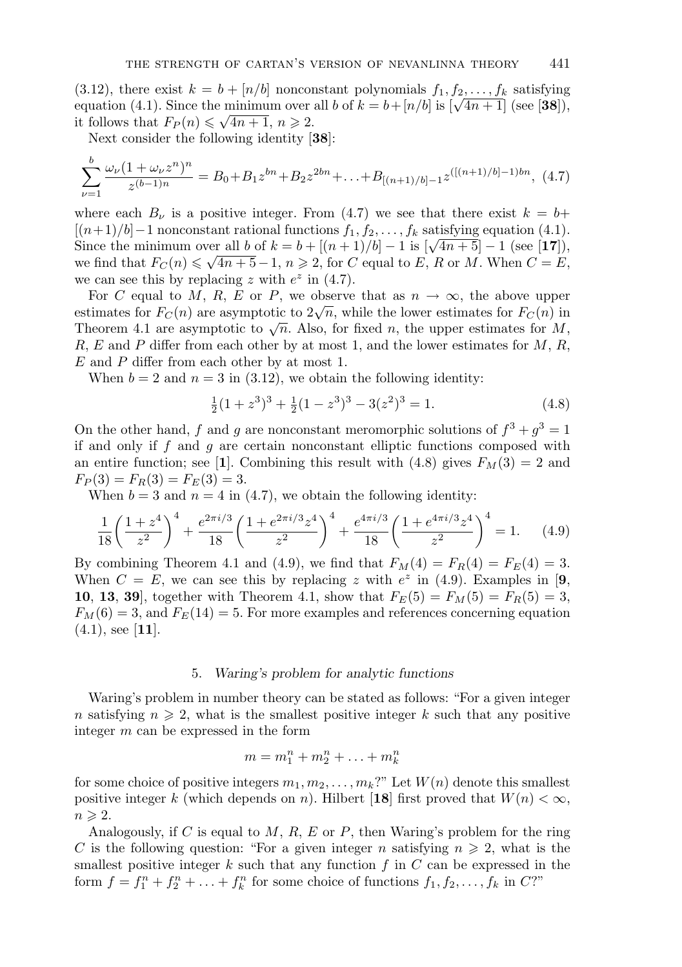(3.12), there exist  $k = b + [n/b]$  nonconstant polynomials  $f_1, f_2, \ldots, f_k$  satisfying equation (4.1). Since the minimum over all b of  $k = b + [n/b]$  is  $[\sqrt{4n+1}]$  (see [38]), equation (4.1). Since the minimum over<br>it follows that  $F_P(n) \leq \sqrt{4n+1}$ ,  $n \geq 2$ .

Next consider the following identity [**38**]:

 $\overline{ }$ 

$$
\sum_{\nu=1}^{b} \frac{\omega_{\nu} (1 + \omega_{\nu} z^{n})^{n}}{z^{(b-1)n}} = B_0 + B_1 z^{bn} + B_2 z^{2bn} + \ldots + B_{[(n+1)/b]-1} z^{((n+1)/b]-1)bn},
$$
 (4.7)

where each  $B_{\nu}$  is a positive integer. From (4.7) we see that there exist  $k = b+$  $[(n+1)/b]-1$  nonconstant rational functions  $f_1, f_2, \ldots, f_k$  satisfying equation (4.1). Since the minimum over all b of  $k = b + [(n + 1)/b] - 1$  is  $[\sqrt{4n+5}] - 1$  (see [17]), since the minimum over an b or  $\kappa = b + [(n + 1)/b] - 1$  is  $[\sqrt{4n + 3}] - 1$  (see [17]),<br>we find that  $F_C(n) \le \sqrt{4n + 5} - 1$ ,  $n \ge 2$ , for C equal to E, R or M. When  $C = E$ , we can see this by replacing z with  $e^z$  in (4.7).

For C equal to M, R, E or P, we observe that as  $n \to \infty$ , the above upper estimates for  $F_C(n)$  are asymptotic to  $2\sqrt{n}$ , while the lower estimates for  $F_C(n)$  in Theorem 4.1 are asymptotic to  $\sqrt{n}$ . Also, for fixed n, the upper estimates for M, R, E and P differ from each other by at most 1, and the lower estimates for  $M$ , R,  $E$  and  $P$  differ from each other by at most 1.

When  $b = 2$  and  $n = 3$  in (3.12), we obtain the following identity:

$$
\frac{1}{2}(1+z^3)^3 + \frac{1}{2}(1-z^3)^3 - 3(z^2)^3 = 1.
$$
 (4.8)

On the other hand, f and g are nonconstant meromorphic solutions of  $f^3 + q^3 = 1$ if and only if  $f$  and  $g$  are certain nonconstant elliptic functions composed with an entire function; see [**1**]. Combining this result with (4.8) gives  $F<sub>M</sub>(3) = 2$  and  $F_P(3) = F_R(3) = F_E(3) = 3.$ 

When  $b = 3$  and  $n = 4$  in (4.7), we obtain the following identity:

$$
\frac{1}{18} \left( \frac{1+z^4}{z^2} \right)^4 + \frac{e^{2\pi i/3}}{18} \left( \frac{1+e^{2\pi i/3}z^4}{z^2} \right)^4 + \frac{e^{4\pi i/3}}{18} \left( \frac{1+e^{4\pi i/3}z^4}{z^2} \right)^4 = 1. \tag{4.9}
$$

By combining Theorem 4.1 and (4.9), we find that  $F_M(4) = F_R(4) = F_E(4) = 3$ . When  $C = E$ , we can see this by replacing z with  $e^z$  in (4.9). Examples in [9, **10**, **13**, **39**], together with Theorem 4.1, show that  $F_E(5) = F_M(5) = F_R(5) = 3$ ,  $F_M(6) = 3$ , and  $F_E(14) = 5$ . For more examples and references concerning equation (4.1), see [**11**].

#### 5. *Waring's problem for analytic functions*

Waring's problem in number theory can be stated as follows: "For a given integer n satisfying  $n \geq 2$ , what is the smallest positive integer k such that any positive integer m can be expressed in the form

$$
m = m_1^n + m_2^n + \ldots + m_k^n
$$

for some choice of positive integers  $m_1, m_2, \ldots, m_k$ ?" Let  $W(n)$  denote this smallest positive integer k (which depends on n). Hilbert [18] first proved that  $W(n) < \infty$ ,  $n \geqslant 2$ .

Analogously, if C is equal to  $M$ ,  $R$ ,  $E$  or  $P$ , then Waring's problem for the ring C is the following question: "For a given integer n satisfying  $n \geq 2$ , what is the smallest positive integer k such that any function f in  $C$  can be expressed in the form  $f = f_1^n + f_2^n + \ldots + f_k^n$  for some choice of functions  $f_1, f_2, \ldots, f_k$  in  $C$ ?"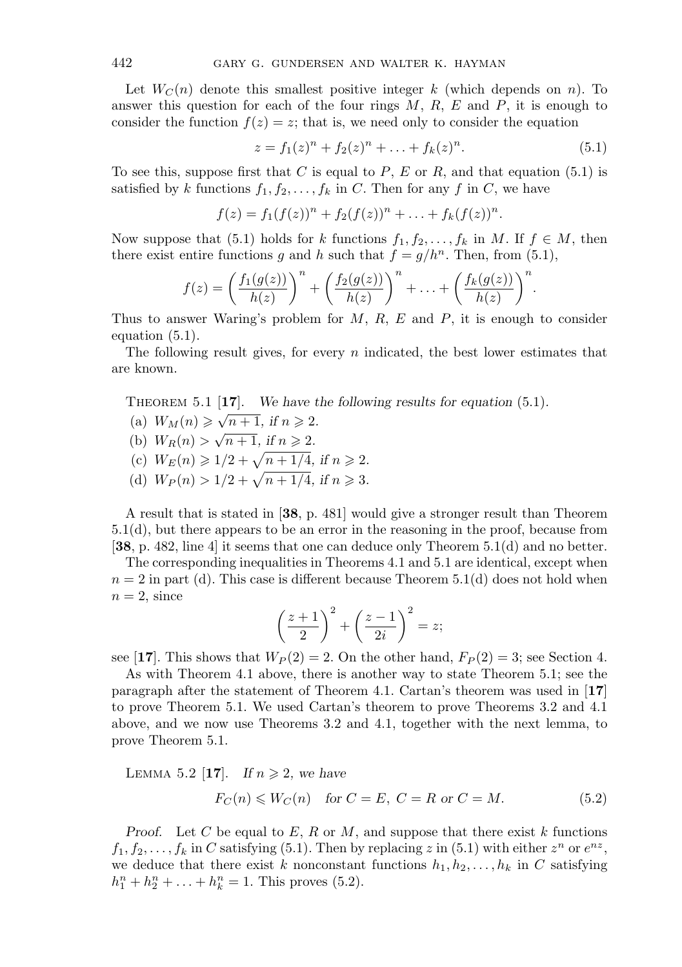Let  $W<sub>C</sub>(n)$  denote this smallest positive integer k (which depends on n). To answer this question for each of the four rings  $M, R, E$  and  $P$ , it is enough to consider the function  $f(z) = z$ ; that is, we need only to consider the equation

$$
z = f_1(z)^n + f_2(z)^n + \ldots + f_k(z)^n.
$$
 (5.1)

To see this, suppose first that C is equal to  $P$ , E or R, and that equation (5.1) is satisfied by k functions  $f_1, f_2, \ldots, f_k$  in C. Then for any f in C, we have

$$
f(z) = f_1(f(z))^n + f_2(f(z))^n + \ldots + f_k(f(z))^n.
$$

Now suppose that (5.1) holds for k functions  $f_1, f_2, \ldots, f_k$  in M. If  $f \in M$ , then there exist entire functions g and h such that  $f = g/h^n$ . Then, from (5.1),

$$
f(z) = \left(\frac{f_1(g(z))}{h(z)}\right)^n + \left(\frac{f_2(g(z))}{h(z)}\right)^n + \ldots + \left(\frac{f_k(g(z))}{h(z)}\right)^n.
$$

Thus to answer Waring's problem for  $M$ ,  $R$ ,  $E$  and  $P$ , it is enough to consider equation (5.1).

The following result gives, for every  $n$  indicated, the best lower estimates that are known.

Theorem 5.1 [**17**]. *We have the following results for equation* (5.1)*.*

- (a)  $W_M(n) \ge \sqrt{n+1}$ , if  $n \ge 2$ .
- (b)  $W_R(n) > \sqrt{n+1}$ , if  $n \ge 2$ .
- (c)  $W_F(n) \geq 1/2 + \sqrt{n + 1/4}$ , if  $n \geq 2$ .
- (d)  $W_P(n) > 1/2 + \sqrt{n+1/4}$ , if  $n \ge 3$ .

A result that is stated in [**38**, p. 481] would give a stronger result than Theorem 5.1(d), but there appears to be an error in the reasoning in the proof, because from [**38**, p. 482, line 4] it seems that one can deduce only Theorem 5.1(d) and no better.

The corresponding inequalities in Theorems 4.1 and 5.1 are identical, except when  $n = 2$  in part (d). This case is different because Theorem 5.1(d) does not hold when  $n = 2$ , since

$$
\left(\frac{z+1}{2}\right)^2 + \left(\frac{z-1}{2i}\right)^2 = z;
$$

see [17]. This shows that  $W_P(2) = 2$ . On the other hand,  $F_P(2) = 3$ ; see Section 4.

As with Theorem 4.1 above, there is another way to state Theorem 5.1; see the paragraph after the statement of Theorem 4.1. Cartan's theorem was used in [**17**] to prove Theorem 5.1. We used Cartan's theorem to prove Theorems 3.2 and 4.1 above, and we now use Theorems 3.2 and 4.1, together with the next lemma, to prove Theorem 5.1.

LEMMA 5.2 [17]. If  $n \geq 2$ , we have

$$
F_C(n) \leqslant W_C(n) \quad \text{for } C = E, \ C = R \text{ or } C = M. \tag{5.2}
$$

*Proof.* Let C be equal to  $E$ ,  $R$  or  $M$ , and suppose that there exist  $k$  functions  $f_1, f_2, \ldots, f_k$  in C satisfying (5.1). Then by replacing z in (5.1) with either  $z^n$  or  $e^{nz}$ , we deduce that there exist k nonconstant functions  $h_1, h_2, \ldots, h_k$  in C satisfying  $h_1^n + h_2^n + \ldots + h_k^n = 1$ . This proves (5.2).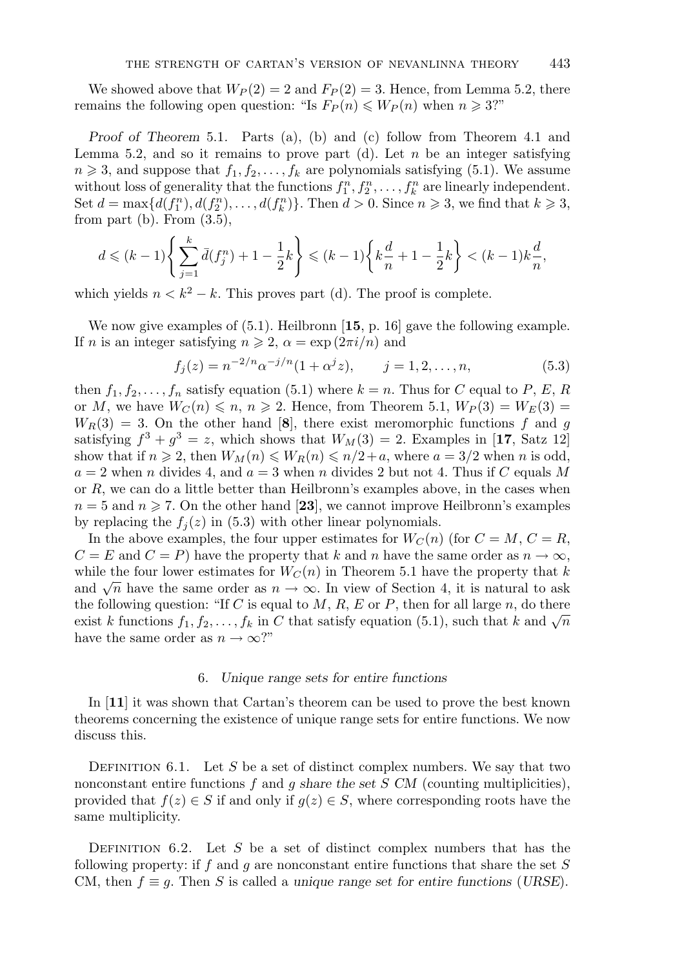We showed above that  $W_P(2) = 2$  and  $F_P(2) = 3$ . Hence, from Lemma 5.2, there remains the following open question: "Is  $F_P(n) \le W_P(n)$  when  $n \ge 3$ ?"

*Proof of Theorem* 5.1*.* Parts (a), (b) and (c) follow from Theorem 4.1 and Lemma 5.2, and so it remains to prove part (d). Let  $n$  be an integer satisfying  $n \geq 3$ , and suppose that  $f_1, f_2, \ldots, f_k$  are polynomials satisfying (5.1). We assume without loss of generality that the functions  $f_1^n, f_2^n, \ldots, f_k^n$  are linearly independent. Set  $d = \max\{d(f_1^n), d(f_2^n), \ldots, d(f_k^n)\}\)$ . Then  $d > 0$ . Since  $n \geq 3$ , we find that  $k \geq 3$ , from part (b). From  $(3.5)$ ,

$$
d \leqslant (k-1)\left\{\sum_{j=1}^{k} \bar{d}(f_j^n) + 1 - \frac{1}{2}k\right\} \leqslant (k-1)\left\{k\frac{d}{n} + 1 - \frac{1}{2}k\right\} < (k-1)k\frac{d}{n},
$$

which yields  $n < k^2 - k$ . This proves part (d). The proof is complete.

We now give examples of (5.1). Heilbronn [**15**, p. 16] gave the following example. If n is an integer satisfying  $n \geq 2$ ,  $\alpha = \exp(2\pi i/n)$  and

$$
f_j(z) = n^{-2/n} \alpha^{-j/n} (1 + \alpha^j z), \qquad j = 1, 2, \dots, n,
$$
 (5.3)

then  $f_1, f_2, \ldots, f_n$  satisfy equation (5.1) where  $k = n$ . Thus for C equal to P, E, R or M, we have  $W_C(n) \leqslant n, n \geqslant 2$ . Hence, from Theorem 5.1,  $W_P(3) = W_E(3) =$  $W_R(3) = 3$ . On the other hand [8], there exist meromorphic functions f and g satisfying  $f^3 + g^3 = z$ , which shows that  $W_M(3) = 2$ . Examples in [17, Satz 12] show that if  $n \ge 2$ , then  $W_M(n) \le W_R(n) \le n/2+a$ , where  $a = 3/2$  when n is odd,  $a = 2$  when n divides 4, and  $a = 3$  when n divides 2 but not 4. Thus if C equals M or R, we can do a little better than Heilbronn's examples above, in the cases when  $n = 5$  and  $n \ge 7$ . On the other hand [23], we cannot improve Heilbronn's examples by replacing the  $f_j(z)$  in (5.3) with other linear polynomials.

In the above examples, the four upper estimates for  $W_C(n)$  (for  $C = M, C = R$ ,  $C = E$  and  $C = P$ ) have the property that k and n have the same order as  $n \to \infty$ , while the four lower estimates for  $W_C(n)$  in Theorem 5.1 have the property that k and  $\sqrt{n}$  have the same order as  $n \to \infty$ . In view of Section 4, it is natural to ask the following question: "If C is equal to  $M$ ,  $R$ ,  $E$  or  $P$ , then for all large  $n$ , do there exist k functions  $f_1, f_2, \ldots, f_k$  in C that satisfy equation (5.1), such that k and  $\sqrt{n}$ have the same order as  $n \to \infty$ ?"

# 6. *Unique range sets for entire functions*

In [**11**] it was shown that Cartan's theorem can be used to prove the best known theorems concerning the existence of unique range sets for entire functions. We now discuss this.

DEFINITION 6.1. Let S be a set of distinct complex numbers. We say that two nonconstant entire functions f and g *share the set* S *CM* (counting multiplicities), provided that  $f(z) \in S$  if and only if  $g(z) \in S$ , where corresponding roots have the same multiplicity.

DEFINITION 6.2. Let S be a set of distinct complex numbers that has the following property: if f and g are nonconstant entire functions that share the set  $S$ CM, then  $f \equiv g$ . Then S is called a *unique range set for entire functions* (*URSE*).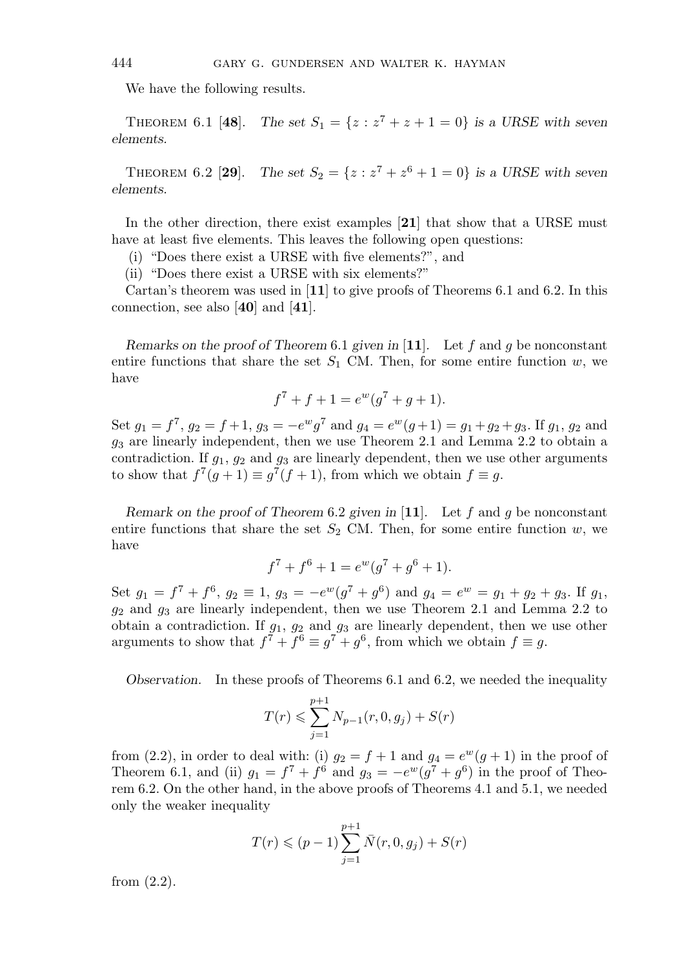We have the following results.

THEOREM 6.1 [48]. *The set*  $S_1 = \{z : z^7 + z + 1 = 0\}$  *is a URSE with seven elements.*

THEOREM 6.2 [29]. The set  $S_2 = \{z : z^7 + z^6 + 1 = 0\}$  is a URSE with seven *elements.*

In the other direction, there exist examples [**21**] that show that a URSE must have at least five elements. This leaves the following open questions:

(i) "Does there exist a URSE with five elements?", and

(ii) "Does there exist a URSE with six elements?"

Cartan's theorem was used in [**11**] to give proofs of Theorems 6.1 and 6.2. In this connection, see also [**40**] and [**41**].

*Remarks on the proof of Theorem* 6.1 *given in* [**11**]*.* Let f and g be nonconstant entire functions that share the set  $S_1$  CM. Then, for some entire function w, we have

$$
f^7 + f + 1 = e^w(g^7 + g + 1).
$$

Set  $g_1 = f^7$ ,  $g_2 = f + 1$ ,  $g_3 = -e^w g^7$  and  $g_4 = e^w (g+1) = g_1 + g_2 + g_3$ . If  $g_1$ ,  $g_2$  and  $g_3$  are linearly independent, then we use Theorem 2.1 and Lemma 2.2 to obtain a contradiction. If  $g_1$ ,  $g_2$  and  $g_3$  are linearly dependent, then we use other arguments to show that  $f^7(g+1) \equiv g^7(f+1)$ , from which we obtain  $f \equiv g$ .

*Remark on the proof of Theorem* 6.2 *given in* [**11**]*.* Let f and g be nonconstant entire functions that share the set  $S_2$  CM. Then, for some entire function w, we have

$$
f^7 + f^6 + 1 = e^w(g^7 + g^6 + 1).
$$

Set  $g_1 = f^7 + f^6$ ,  $g_2 \equiv 1$ ,  $g_3 = -e^w(g^7 + g^6)$  and  $g_4 = e^w = g_1 + g_2 + g_3$ . If  $g_1$ ,  $g_2$  and  $g_3$  are linearly independent, then we use Theorem 2.1 and Lemma 2.2 to obtain a contradiction. If  $q_1$ ,  $q_2$  and  $q_3$  are linearly dependent, then we use other arguments to show that  $f^7 + f^6 \equiv g^7 + g^6$ , from which we obtain  $f \equiv g$ .

*Observation.* In these proofs of Theorems 6.1 and 6.2, we needed the inequality

$$
T(r) \leqslant \sum_{j=1}^{p+1} N_{p-1}(r, 0, g_j) + S(r)
$$

from (2.2), in order to deal with: (i)  $g_2 = f + 1$  and  $g_4 = e^w(g + 1)$  in the proof of Theorem 6.1, and (ii)  $g_1 = f^7 + \dot{f}^6$  and  $g_3 = -e^w(g^7 + g^6)$  in the proof of Theorem 6.2. On the other hand, in the above proofs of Theorems 4.1 and 5.1, we needed only the weaker inequality

$$
T(r) \le (p-1) \sum_{j=1}^{p+1} \bar{N}(r, 0, g_j) + S(r)
$$

from (2.2).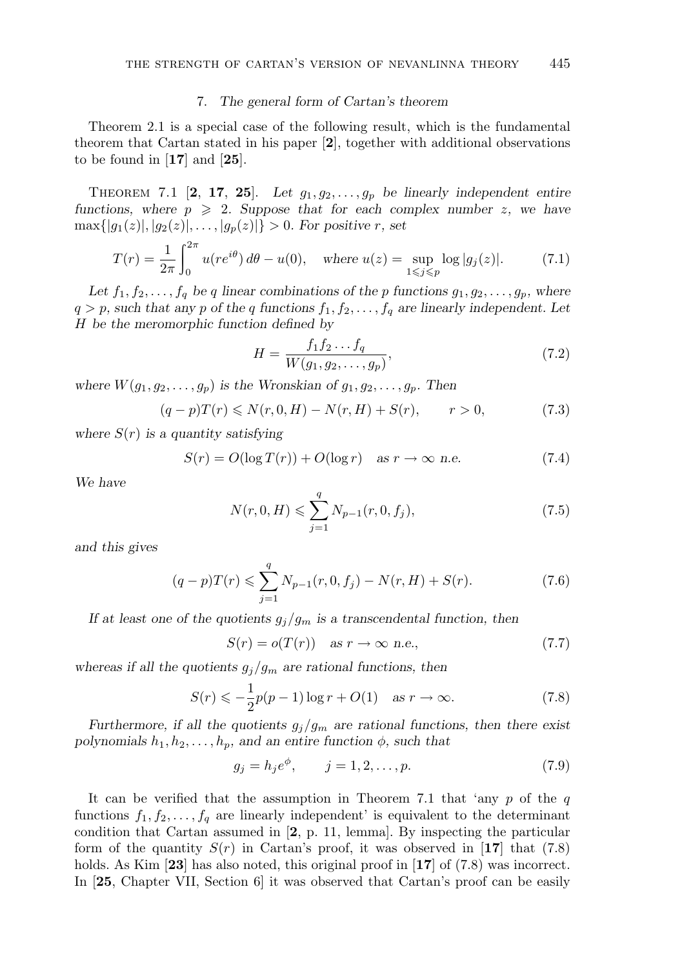#### 7. *The general form of Cartan's theorem*

Theorem 2.1 is a special case of the following result, which is the fundamental theorem that Cartan stated in his paper [**2**], together with additional observations to be found in [**17**] and [**25**].

THEOREM 7.1 [2, 17, 25]. Let  $g_1, g_2, \ldots, g_p$  be linearly independent entire *functions, where*  $p \ge 2$ *. Suppose that for each complex number* z, we have  $\max\{|g_1(z)|, |g_2(z)|, \ldots, |g_n(z)|\} > 0$ . For positive r, set

$$
T(r) = \frac{1}{2\pi} \int_0^{2\pi} u(re^{i\theta}) \, d\theta - u(0), \quad \text{where } u(z) = \sup_{1 \le j \le p} \log|g_j(z)|. \tag{7.1}
$$

Let  $f_1, f_2, \ldots, f_q$  be q linear combinations of the p functions  $g_1, g_2, \ldots, g_p$ , where  $q > p$ , such that any p of the q functions  $f_1, f_2, \ldots, f_q$  are linearly independent. Let H *be the meromorphic function defined by*

$$
H = \frac{f_1 f_2 \dots f_q}{W(g_1, g_2, \dots, g_p)},
$$
\n(7.2)

where  $W(g_1, g_2, \ldots, g_p)$  *is the Wronskian of*  $g_1, g_2, \ldots, g_p$ *. Then* 

$$
(q-p)T(r) \le N(r, 0, H) - N(r, H) + S(r), \qquad r > 0,
$$
\n(7.3)

*where* S(r) *is a quantity satisfying*

$$
S(r) = O(\log T(r)) + O(\log r) \quad \text{as } r \to \infty \text{ n.e.}
$$
 (7.4)

*We have*

$$
N(r, 0, H) \leqslant \sum_{j=1}^{q} N_{p-1}(r, 0, f_j),\tag{7.5}
$$

*and this gives*

$$
(q-p)T(r) \leq \sum_{j=1}^{q} N_{p-1}(r, 0, f_j) - N(r, H) + S(r).
$$
 (7.6)

*If at least one of the quotients*  $g_j/g_m$  *is a transcendental function, then* 

$$
S(r) = o(T(r)) \quad \text{as } r \to \infty \text{ n.e.,}
$$
\n
$$
(7.7)
$$

whereas if all the quotients  $g_j/g_m$  are rational functions, then

$$
S(r) \leqslant -\frac{1}{2}p(p-1)\log r + O(1) \quad \text{as } r \to \infty. \tag{7.8}
$$

*Furthermore, if all the quotients*  $g_j/g_m$  *are rational functions, then there exist polynomials*  $h_1, h_2, \ldots, h_p$ *, and an entire function*  $\phi$ *, such that* 

$$
g_j = h_j e^{\phi}, \qquad j = 1, 2, \dots, p. \tag{7.9}
$$

It can be verified that the assumption in Theorem 7.1 that 'any  $p$  of the  $q$ functions  $f_1, f_2, \ldots, f_q$  are linearly independent' is equivalent to the determinant condition that Cartan assumed in [**2**, p. 11, lemma]. By inspecting the particular form of the quantity  $S(r)$  in Cartan's proof, it was observed in [17] that (7.8) holds. As Kim **[23]** has also noted, this original proof in **[17]** of (7.8) was incorrect. In [**25**, Chapter VII, Section 6] it was observed that Cartan's proof can be easily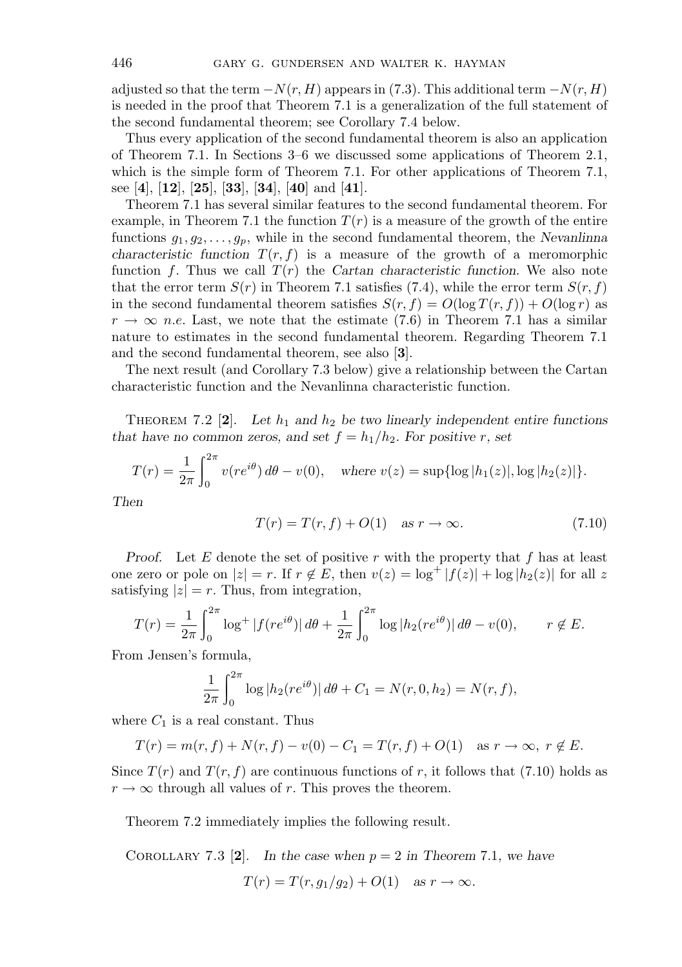adjusted so that the term  $-N(r, H)$  appears in (7.3). This additional term  $-N(r, H)$ is needed in the proof that Theorem 7.1 is a generalization of the full statement of the second fundamental theorem; see Corollary 7.4 below.

Thus every application of the second fundamental theorem is also an application of Theorem 7.1. In Sections 3–6 we discussed some applications of Theorem 2.1, which is the simple form of Theorem 7.1. For other applications of Theorem 7.1, see [**4**], [**12**], [**25**], [**33**], [**34**], [**40**] and [**41**].

Theorem 7.1 has several similar features to the second fundamental theorem. For example, in Theorem 7.1 the function  $T(r)$  is a measure of the growth of the entire functions  $g_1, g_2, \ldots, g_p$ , while in the second fundamental theorem, the *Nevanlinna characteristic function*  $T(r, f)$  is a measure of the growth of a meromorphic function f. Thus we call  $T(r)$  the *Cartan characteristic function*. We also note that the error term  $S(r)$  in Theorem 7.1 satisfies (7.4), while the error term  $S(r, f)$ in the second fundamental theorem satisfies  $S(r, f) = O(\log T(r, f)) + O(\log r)$  as  $r \to \infty$  n.e. Last, we note that the estimate (7.6) in Theorem 7.1 has a similar nature to estimates in the second fundamental theorem. Regarding Theorem 7.1 and the second fundamental theorem, see also [**3**].

The next result (and Corollary 7.3 below) give a relationship between the Cartan characteristic function and the Nevanlinna characteristic function.

THEOREM 7.2  $[2]$ . Let  $h_1$  and  $h_2$  be two linearly independent entire functions *that have no common zeros, and set*  $f = h_1/h_2$ *. For positive r, set* 

$$
T(r) = \frac{1}{2\pi} \int_0^{2\pi} v(re^{i\theta}) d\theta - v(0), \quad \text{where } v(z) = \sup\{\log|h_1(z)|, \log|h_2(z)|\}.
$$

*Then*

$$
T(r) = T(r, f) + O(1) \quad \text{as } r \to \infty.
$$
 (7.10)

*Proof.* Let  $E$  denote the set of positive  $r$  with the property that  $f$  has at least one zero or pole on  $|z| = r$ . If  $r \notin E$ , then  $v(z) = \log^+ |f(z)| + \log |h_2(z)|$  for all z satisfying  $|z| = r$ . Thus, from integration,

$$
T(r) = \frac{1}{2\pi} \int_0^{2\pi} \log^+ |f(re^{i\theta})| \, d\theta + \frac{1}{2\pi} \int_0^{2\pi} \log |h_2(re^{i\theta})| \, d\theta - v(0), \qquad r \notin E.
$$

From Jensen's formula,

$$
\frac{1}{2\pi} \int_0^{2\pi} \log |h_2(re^{i\theta})| d\theta + C_1 = N(r, 0, h_2) = N(r, f),
$$

where  $C_1$  is a real constant. Thus

$$
T(r) = m(r, f) + N(r, f) - v(0) - C_1 = T(r, f) + O(1) \quad \text{as } r \to \infty, \ r \notin E.
$$

Since  $T(r)$  and  $T(r, f)$  are continuous functions of r, it follows that (7.10) holds as  $r \to \infty$  through all values of r. This proves the theorem.

Theorem 7.2 immediately implies the following result.

COROLLARY 7.3 [2]. In the case when  $p = 2$  in Theorem 7.1, we have  $T(r) = T(r, g_1/g_2) + O(1)$  *as*  $r \to \infty$ .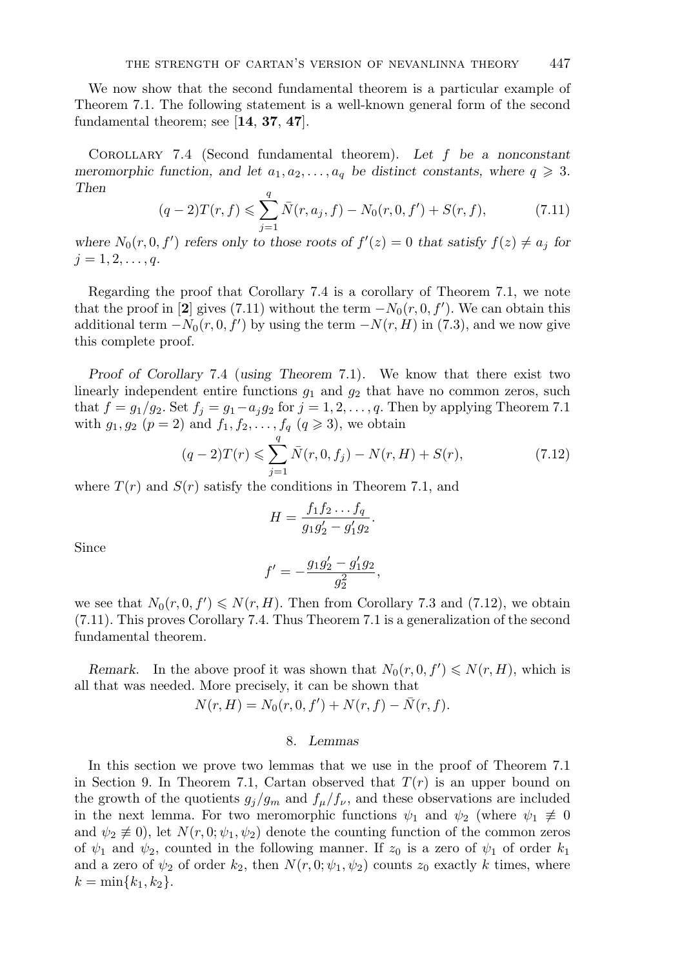We now show that the second fundamental theorem is a particular example of Theorem 7.1. The following statement is a well-known general form of the second fundamental theorem; see [**14**, **37**, **47**].

Corollary 7.4 (Second fundamental theorem). *Let* f *be a nonconstant meromorphic function, and let*  $a_1, a_2, \ldots, a_q$  *be distinct constants, where*  $q \geq 3$ *. Then*

$$
(q-2)T(r,f) \leq \sum_{j=1}^{q} \bar{N}(r,a_j,f) - N_0(r,0,f') + S(r,f), \qquad (7.11)
$$

where  $N_0(r, 0, f')$  *refers only to those roots of*  $f'(z) = 0$  *that satisfy*  $f(z) \neq a_j$  *for*  $j = 1, 2, \ldots, q$ .

Regarding the proof that Corollary 7.4 is a corollary of Theorem 7.1, we note that the proof in [2] gives (7.11) without the term  $-N_0(r, 0, f')$ . We can obtain this additional term  $-N_0(r, 0, f')$  by using the term  $-N(r, H)$  in (7.3), and we now give this complete proof.

*Proof of Corollary* 7.4 (*using Theorem* 7.1)*.* We know that there exist two linearly independent entire functions  $g_1$  and  $g_2$  that have no common zeros, such that  $f = g_1/g_2$ . Set  $f_j = g_1 - a_jg_2$  for  $j = 1, 2, ..., q$ . Then by applying Theorem 7.1 with  $g_1, g_2$   $(p = 2)$  and  $f_1, f_2, ..., f_q$   $(q \ge 3)$ , we obtain

$$
(q-2)T(r) \leq \sum_{j=1}^{q} \bar{N}(r, 0, f_j) - N(r, H) + S(r),
$$
\n(7.12)

where  $T(r)$  and  $S(r)$  satisfy the conditions in Theorem 7.1, and

$$
H = \frac{f_1 f_2 \dots f_q}{g_1 g'_2 - g'_1 g_2}.
$$

Since

$$
f' = -\frac{g_1 g_2' - g_1' g_2}{g_2^2},
$$

we see that  $N_0(r, 0, f') \le N(r, H)$ . Then from Corollary 7.3 and (7.12), we obtain (7.11). This proves Corollary 7.4. Thus Theorem 7.1 is a generalization of the second fundamental theorem.

*Remark.* In the above proof it was shown that  $N_0(r, 0, f') \le N(r, H)$ , which is all that was needed. More precisely, it can be shown that

$$
N(r, H) = N_0(r, 0, f') + N(r, f) - \bar{N}(r, f).
$$

#### 8. *Lemmas*

In this section we prove two lemmas that we use in the proof of Theorem 7.1 in Section 9. In Theorem 7.1, Cartan observed that  $T(r)$  is an upper bound on the growth of the quotients  $g_j/g_m$  and  $f_\mu/f_\nu$ , and these observations are included in the next lemma. For two meromorphic functions  $\psi_1$  and  $\psi_2$  (where  $\psi_1 \neq 0$ and  $\psi_2 \not\equiv 0$ , let  $N(r, 0; \psi_1, \psi_2)$  denote the counting function of the common zeros of  $\psi_1$  and  $\psi_2$ , counted in the following manner. If  $z_0$  is a zero of  $\psi_1$  of order  $k_1$ and a zero of  $\psi_2$  of order  $k_2$ , then  $N(r, 0; \psi_1, \psi_2)$  counts  $z_0$  exactly k times, where  $k = \min\{k_1, k_2\}.$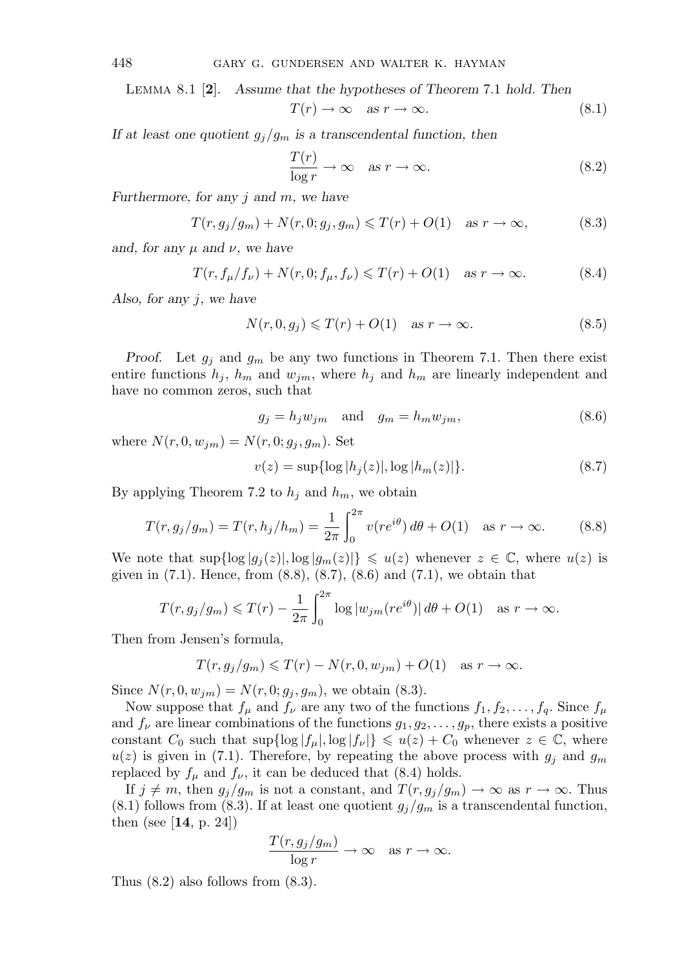Lemma 8.1 [**2**]. *Assume that the hypotheses of Theorem* 7.1 *hold. Then*

$$
T(r) \to \infty \quad \text{as } r \to \infty. \tag{8.1}
$$

*If at least one quotient*  $g_i/g_m$  *is a transcendental function, then* 

$$
\frac{T(r)}{\log r} \to \infty \quad \text{as } r \to \infty. \tag{8.2}
$$

*Furthermore, for any* j *and* m*, we have*

$$
T(r, g_j/g_m) + N(r, 0; g_j, g_m) \le T(r) + O(1) \quad \text{as } r \to \infty,
$$
 (8.3)

*and, for any*  $\mu$  *and*  $\nu$ *, we have* 

$$
T(r, f_{\mu}/f_{\nu}) + N(r, 0; f_{\mu}, f_{\nu}) \leq T(r) + O(1) \quad \text{as } r \to \infty.
$$
 (8.4)

*Also, for any* j*, we have*

$$
N(r, 0, g_j) \leq T(r) + O(1) \quad \text{as } r \to \infty. \tag{8.5}
$$

*Proof.* Let  $g_j$  and  $g_m$  be any two functions in Theorem 7.1. Then there exist entire functions  $h_j$ ,  $h_m$  and  $w_{jm}$ , where  $h_j$  and  $h_m$  are linearly independent and have no common zeros, such that

$$
g_j = h_j w_{jm} \quad \text{and} \quad g_m = h_m w_{jm}, \tag{8.6}
$$

where  $N(r, 0, w_{im}) = N(r, 0; g_i, g_m)$ . Set

$$
v(z) = \sup\{\log|h_j(z)|, \log|h_m(z)|\}.
$$
 (8.7)

By applying Theorem 7.2 to  $h_j$  and  $h_m$ , we obtain

$$
T(r, g_j/g_m) = T(r, h_j/h_m) = \frac{1}{2\pi} \int_0^{2\pi} v(re^{i\theta}) \, d\theta + O(1) \quad \text{as } r \to \infty. \tag{8.8}
$$

We note that  $\sup\{\log |g_j(z)|, \log |g_m(z)|\} \leq u(z)$  whenever  $z \in \mathbb{C}$ , where  $u(z)$  is given in  $(7.1)$ . Hence, from  $(8.8)$ ,  $(8.7)$ ,  $(8.6)$  and  $(7.1)$ , we obtain that

$$
T(r, g_j/g_m) \leq T(r) - \frac{1}{2\pi} \int_0^{2\pi} \log |w_{jm}(re^{i\theta})| d\theta + O(1) \quad \text{as } r \to \infty.
$$

Then from Jensen's formula,

$$
T(r, g_j/g_m) \leq T(r) - N(r, 0, w_{jm}) + O(1) \quad \text{as } r \to \infty.
$$

Since  $N(r, 0, w_{jm}) = N(r, 0; g_j, g_m)$ , we obtain (8.3).

Now suppose that  $f_{\mu}$  and  $f_{\nu}$  are any two of the functions  $f_1, f_2, \ldots, f_q$ . Since  $f_{\mu}$ and  $f_{\nu}$  are linear combinations of the functions  $g_1, g_2, \ldots, g_p$ , there exists a positive constant  $C_0$  such that  $\sup{\log |f_\mu|, \log |f_\nu|} \leq u(z) + C_0$  whenever  $z \in \mathbb{C}$ , where  $u(z)$  is given in (7.1). Therefore, by repeating the above process with  $g_i$  and  $g_m$ replaced by  $f_{\mu}$  and  $f_{\nu}$ , it can be deduced that (8.4) holds.

If  $j \neq m$ , then  $g_j/g_m$  is not a constant, and  $T(r, g_j/g_m) \to \infty$  as  $r \to \infty$ . Thus  $(8.1)$  follows from  $(8.3)$ . If at least one quotient  $g_j/g_m$  is a transcendental function, then (see [**14**, p. 24])

$$
\frac{T(r, g_j/g_m)}{\log r} \to \infty \quad \text{as } r \to \infty.
$$

Thus (8.2) also follows from (8.3).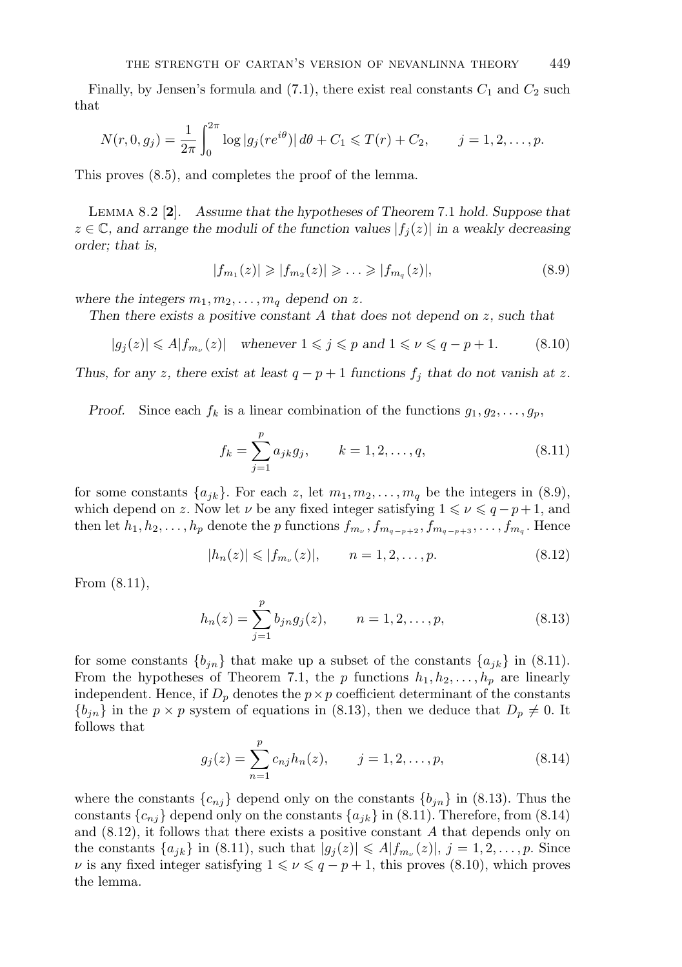Finally, by Jensen's formula and  $(7.1)$ , there exist real constants  $C_1$  and  $C_2$  such that

$$
N(r, 0, g_j) = \frac{1}{2\pi} \int_0^{2\pi} \log|g_j(re^{i\theta})| \, d\theta + C_1 \leq T(r) + C_2, \qquad j = 1, 2, \dots, p.
$$

This proves (8.5), and completes the proof of the lemma.

Lemma 8.2 [**2**]. *Assume that the hypotheses of Theorem* 7.1 *hold. Suppose that*  $z \in \mathbb{C}$ , and arrange the moduli of the function values  $|f_i(z)|$  in a weakly decreasing *order; that is,*

$$
|f_{m_1}(z)| \geq |f_{m_2}(z)| \geq \ldots \geq |f_{m_q}(z)|,\tag{8.9}
$$

where the integers  $m_1, m_2, \ldots, m_q$  depend on z.

*Then there exists a positive constant* A *that does not depend on* z*, such that*

$$
|g_j(z)| \le A |f_{m_\nu}(z)| \quad \text{whenever } 1 \le j \le p \text{ and } 1 \le \nu \le q - p + 1. \tag{8.10}
$$

*Thus, for any z, there exist at least*  $q - p + 1$  *functions*  $f_j$  *that do not vanish at z.* 

*Proof.* Since each  $f_k$  is a linear combination of the functions  $g_1, g_2, \ldots, g_p$ ,

$$
f_k = \sum_{j=1}^p a_{jk} g_j, \qquad k = 1, 2, \dots, q,
$$
\n(8.11)

for some constants  $\{a_{jk}\}\$ . For each z, let  $m_1, m_2, \ldots, m_q$  be the integers in (8.9), which depend on z. Now let  $\nu$  be any fixed integer satisfying  $1 \leq \nu \leq q - p + 1$ , and then let  $h_1, h_2, \ldots, h_p$  denote the p functions  $f_{m_\nu}, f_{m_{q-p+2}}, f_{m_{q-p+3}}, \ldots, f_{m_q}$ . Hence

$$
|h_n(z)| \le |f_{m_\nu}(z)|, \qquad n = 1, 2, \dots, p. \tag{8.12}
$$

From (8.11),

$$
h_n(z) = \sum_{j=1}^p b_{jn} g_j(z), \qquad n = 1, 2, \dots, p,
$$
\n(8.13)

for some constants  $\{b_{jn}\}\$  that make up a subset of the constants  $\{a_{jk}\}\$ in (8.11). From the hypotheses of Theorem 7.1, the p functions  $h_1, h_2, \ldots, h_p$  are linearly independent. Hence, if  $D_p$  denotes the  $p \times p$  coefficient determinant of the constants  ${b_{in}}$  in the  $p \times p$  system of equations in (8.13), then we deduce that  $D_p \neq 0$ . It follows that

$$
g_j(z) = \sum_{n=1}^p c_{nj} h_n(z), \qquad j = 1, 2, \dots, p,
$$
\n(8.14)

where the constants  $\{c_{nj}\}$  depend only on the constants  $\{b_{jn}\}$  in (8.13). Thus the constants  $\{c_{nj}\}$  depend only on the constants  $\{a_{jk}\}$  in (8.11). Therefore, from (8.14) and  $(8.12)$ , it follows that there exists a positive constant  $A$  that depends only on the constants  $\{a_{jk}\}\$ in (8.11), such that  $|g_j(z)| \leq A |f_{m_{\nu}}(z)|$ ,  $j = 1, 2, \ldots, p$ . Since  $\nu$  is any fixed integer satisfying  $1 \leq \nu \leq q - p + 1$ , this proves (8.10), which proves the lemma.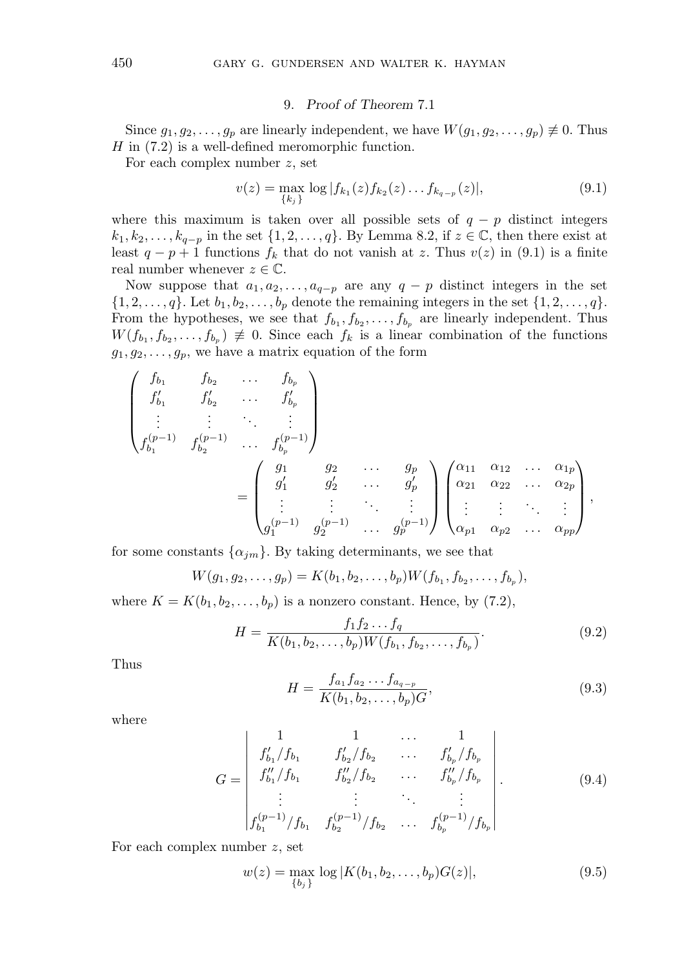## 9. *Proof of Theorem* 7.1

Since  $g_1, g_2, \ldots, g_p$  are linearly independent, we have  $W(g_1, g_2, \ldots, g_p) \neq 0$ . Thus  $H$  in  $(7.2)$  is a well-defined meromorphic function.

For each complex number  $z$ , set

$$
v(z) = \max_{\{k_j\}} \log |f_{k_1}(z)f_{k_2}(z)\dots f_{k_{q-p}}(z)|,
$$
\n(9.1)

where this maximum is taken over all possible sets of  $q - p$  distinct integers  $k_1, k_2, \ldots, k_{q-p}$  in the set  $\{1, 2, \ldots, q\}$ . By Lemma 8.2, if  $z \in \mathbb{C}$ , then there exist at least  $q - p + 1$  functions  $f_k$  that do not vanish at z. Thus  $v(z)$  in (9.1) is a finite real number whenever  $z \in \mathbb{C}$ .

Now suppose that  $a_1, a_2, \ldots, a_{q-p}$  are any  $q - p$  distinct integers in the set  $\{1, 2, \ldots, q\}$ . Let  $b_1, b_2, \ldots, b_p$  denote the remaining integers in the set  $\{1, 2, \ldots, q\}$ . From the hypotheses, we see that  $f_{b_1}, f_{b_2}, \ldots, f_{b_p}$  are linearly independent. Thus  $W(f_{b_1}, f_{b_2}, \ldots, f_{b_n}) \not\equiv 0$ . Since each  $f_k$  is a linear combination of the functions  $g_1, g_2, \ldots, g_p$ , we have a matrix equation of the form

$$
\begin{pmatrix}\nf_{b_1} & f_{b_2} & \dots & f_{b_p} \\
f'_{b_1} & f'_{b_2} & \dots & f'_{b_p} \\
\vdots & \vdots & \ddots & \vdots \\
f_{b_1}^{(p-1)} & f_{b_2}^{(p-1)} & \dots & f_{b_p}^{(p-1)}\n\end{pmatrix}
$$
\n
$$
= \begin{pmatrix}\ng_1 & g_2 & \dots & g_p \\
g'_1 & g'_2 & \dots & g'_p \\
\vdots & \vdots & \ddots & \vdots \\
g_1^{(p-1)} & g_2^{(p-1)} & \dots & g_p^{(p-1)}\n\end{pmatrix}\n\begin{pmatrix}\na_{11} & a_{12} & \dots & a_{1p} \\
\alpha_{21} & \alpha_{22} & \dots & \alpha_{2p} \\
\vdots & \vdots & \ddots & \vdots \\
\alpha_{p1} & \alpha_{p2} & \dots & \alpha_{pp}\n\end{pmatrix},
$$

for some constants  $\{\alpha_{jm}\}$ . By taking determinants, we see that

$$
W(g_1, g_2, \ldots, g_p) = K(b_1, b_2, \ldots, b_p) W(f_{b_1}, f_{b_2}, \ldots, f_{b_p}),
$$

where  $K = K(b_1, b_2, \ldots, b_p)$  is a nonzero constant. Hence, by (7.2),

$$
H = \frac{f_1 f_2 \dots f_q}{K(b_1, b_2, \dots, b_p) W(f_{b_1}, f_{b_2}, \dots, f_{b_p})}.
$$
\n(9.2)

Thus

$$
H = \frac{f_{a_1} f_{a_2} \dots f_{a_{q-p}}}{K(b_1, b_2, \dots, b_p)G},\tag{9.3}
$$

where

$$
G = \begin{vmatrix} 1 & 1 & \dots & 1 \\ f'_{b_1}/f_{b_1} & f'_{b_2}/f_{b_2} & \dots & f'_{b_p}/f_{b_p} \\ f''_{b_1}/f_{b_1} & f''_{b_2}/f_{b_2} & \dots & f''_{b_p}/f_{b_p} \\ \vdots & \vdots & \ddots & \vdots \\ f^{(p-1)}_{b_1}/f_{b_1} & f^{(p-1)}_{b_2}/f_{b_2} & \dots & f^{(p-1)}_{b_p}/f_{b_p} \end{vmatrix}.
$$
 (9.4)

For each complex number z, set

$$
w(z) = \max_{\{b_j\}} \log |K(b_1, b_2, \dots, b_p)G(z)|,
$$
\n(9.5)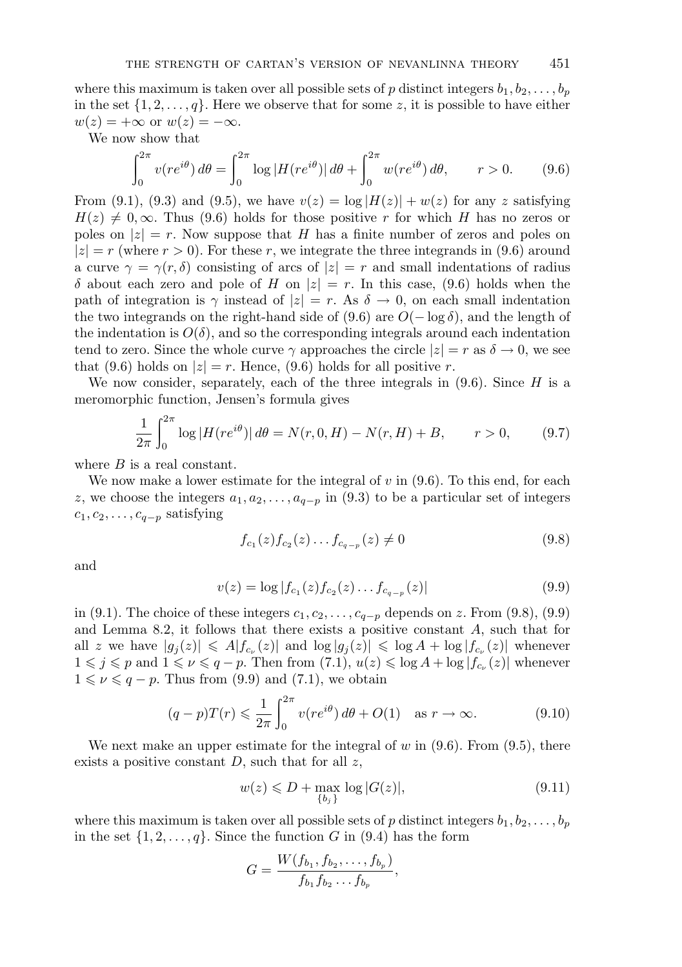where this maximum is taken over all possible sets of p distinct integers  $b_1, b_2, \ldots, b_n$ in the set  $\{1, 2, \ldots, q\}$ . Here we observe that for some z, it is possible to have either  $w(z) = +\infty$  or  $w(z) = -\infty$ .

We now show that

$$
\int_0^{2\pi} v(re^{i\theta}) d\theta = \int_0^{2\pi} \log|H(re^{i\theta})| d\theta + \int_0^{2\pi} w(re^{i\theta}) d\theta, \qquad r > 0. \tag{9.6}
$$

From (9.1), (9.3) and (9.5), we have  $v(z) = \log |H(z)| + w(z)$  for any z satisfying  $H(z) \neq 0, \infty$ . Thus (9.6) holds for those positive r for which H has no zeros or poles on  $|z| = r$ . Now suppose that H has a finite number of zeros and poles on  $|z| = r$  (where  $r > 0$ ). For these r, we integrate the three integrands in (9.6) around a curve  $\gamma = \gamma(r, \delta)$  consisting of arcs of  $|z| = r$  and small indentations of radius  $\delta$  about each zero and pole of H on  $|z| = r$ . In this case, (9.6) holds when the path of integration is  $\gamma$  instead of  $|z| = r$ . As  $\delta \to 0$ , on each small indentation the two integrands on the right-hand side of (9.6) are  $O(-\log \delta)$ , and the length of the indentation is  $O(\delta)$ , and so the corresponding integrals around each indentation tend to zero. Since the whole curve  $\gamma$  approaches the circle  $|z| = r$  as  $\delta \to 0$ , we see that (9.6) holds on  $|z| = r$ . Hence, (9.6) holds for all positive r.

We now consider, separately, each of the three integrals in  $(9.6)$ . Since H is a meromorphic function, Jensen's formula gives

$$
\frac{1}{2\pi} \int_0^{2\pi} \log |H(re^{i\theta})| \, d\theta = N(r, 0, H) - N(r, H) + B, \qquad r > 0,\tag{9.7}
$$

where  $B$  is a real constant.

We now make a lower estimate for the integral of  $v$  in  $(9.6)$ . To this end, for each z, we choose the integers  $a_1, a_2, \ldots, a_{q-p}$  in (9.3) to be a particular set of integers  $c_1, c_2, \ldots, c_{q-p}$  satisfying

$$
f_{c_1}(z) f_{c_2}(z) \dots f_{c_{q-p}}(z) \neq 0 \tag{9.8}
$$

and

$$
v(z) = \log |f_{c_1}(z)f_{c_2}(z)\dots f_{c_{q-p}}(z)|
$$
\n(9.9)

in (9.1). The choice of these integers  $c_1, c_2, \ldots, c_{q-p}$  depends on z. From (9.8), (9.9) and Lemma 8.2, it follows that there exists a positive constant A, such that for all z we have  $|g_j(z)| \leqslant A |f_{c_{\nu}}(z)|$  and  $\log |g_j(z)| \leqslant \log A + \log |f_{c_{\nu}}(z)|$  whenever  $1 \leq j \leq p$  and  $1 \leq \nu \leq q-p$ . Then from  $(7.1)$ ,  $u(z) \leq \log A + \log |f_{c_{\nu}}(z)|$  whenever  $1 \leqslant \nu \leqslant q - p$ . Thus from (9.9) and (7.1), we obtain

$$
(q-p)T(r) \leq \frac{1}{2\pi} \int_0^{2\pi} v(re^{i\theta}) d\theta + O(1) \quad \text{as } r \to \infty.
$$
 (9.10)

We next make an upper estimate for the integral of  $w$  in  $(9.6)$ . From  $(9.5)$ , there exists a positive constant  $D$ , such that for all  $z$ ,

$$
w(z) \le D + \max_{\{b_j\}} \log |G(z)|,\tag{9.11}
$$

where this maximum is taken over all possible sets of p distinct integers  $b_1, b_2, \ldots, b_p$ in the set  $\{1, 2, \ldots, q\}$ . Since the function G in (9.4) has the form

$$
G = \frac{W(f_{b_1}, f_{b_2}, \ldots, f_{b_p})}{f_{b_1} f_{b_2} \ldots f_{b_p}},
$$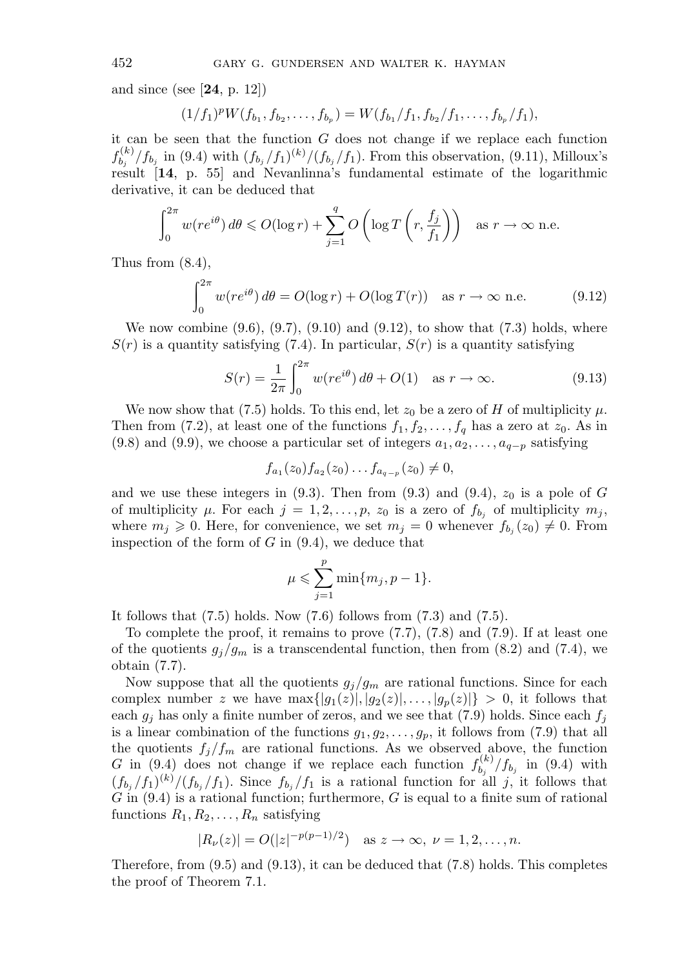and since (see [**24**, p. 12])

$$
(1/f_1)^p W(f_{b_1}, f_{b_2}, \ldots, f_{b_p}) = W(f_{b_1}/f_1, f_{b_2}/f_1, \ldots, f_{b_p}/f_1),
$$

it can be seen that the function  $G$  does not change if we replace each function  $f_{b_j}^{(k)}/f_{b_j}$  in (9.4) with  $(f_{b_j}/f_1)^{(k)}/(f_{b_j}/f_1)$ . From this observation, (9.11), Milloux's result [**14**, p. 55] and Nevanlinna's fundamental estimate of the logarithmic derivative, it can be deduced that

$$
\int_0^{2\pi} w(re^{i\theta}) d\theta \le O(\log r) + \sum_{j=1}^q O\left(\log T\left(r, \frac{f_j}{f_1}\right)\right) \quad \text{as } r \to \infty \text{ n.e.}
$$

Thus from (8.4),

$$
\int_0^{2\pi} w(re^{i\theta}) d\theta = O(\log r) + O(\log T(r)) \quad \text{as } r \to \infty \text{ n.e.}
$$
 (9.12)

We now combine  $(9.6), (9.7), (9.10)$  and  $(9.12),$  to show that  $(7.3)$  holds, where  $S(r)$  is a quantity satisfying (7.4). In particular,  $S(r)$  is a quantity satisfying

$$
S(r) = \frac{1}{2\pi} \int_0^{2\pi} w(re^{i\theta}) d\theta + O(1) \quad \text{as } r \to \infty.
$$
 (9.13)

We now show that (7.5) holds. To this end, let  $z_0$  be a zero of H of multiplicity  $\mu$ . Then from (7.2), at least one of the functions  $f_1, f_2, \ldots, f_q$  has a zero at  $z_0$ . As in (9.8) and (9.9), we choose a particular set of integers  $a_1, a_2, \ldots, a_{q-p}$  satisfying

$$
f_{a_1}(z_0) f_{a_2}(z_0) \ldots f_{a_{q-p}}(z_0) \neq 0,
$$

and we use these integers in  $(9.3)$ . Then from  $(9.3)$  and  $(9.4)$ ,  $z_0$  is a pole of G of multiplicity  $\mu$ . For each  $j = 1, 2, \ldots, p$ ,  $z_0$  is a zero of  $f_{b_j}$  of multiplicity  $m_j$ , where  $m_j \geq 0$ . Here, for convenience, we set  $m_j = 0$  whenever  $f_{b_j}(z_0) \neq 0$ . From inspection of the form of  $G$  in  $(9.4)$ , we deduce that

$$
\mu \leqslant \sum_{j=1}^p \min\{m_j, p-1\}.
$$

It follows that  $(7.5)$  holds. Now  $(7.6)$  follows from  $(7.3)$  and  $(7.5)$ .

To complete the proof, it remains to prove (7.7), (7.8) and (7.9). If at least one of the quotients  $g_j/g_m$  is a transcendental function, then from (8.2) and (7.4), we obtain (7.7).

Now suppose that all the quotients  $g_j/g_m$  are rational functions. Since for each complex number z we have  $\max\{|g_1(z)|, |g_2(z)|, \ldots, |g_p(z)|\} > 0$ , it follows that each  $g_i$  has only a finite number of zeros, and we see that (7.9) holds. Since each  $f_i$ is a linear combination of the functions  $g_1, g_2, \ldots, g_p$ , it follows from (7.9) that all the quotients  $f_j/f_m$  are rational functions. As we observed above, the function G in (9.4) does not change if we replace each function  $f_{b_j}^{(k)}/f_{b_j}$  in (9.4) with  $(f_{b_j}/f_1)^{(k)}/(f_{b_j}/f_1)$ . Since  $f_{b_j}/f_1$  is a rational function for all j, it follows that  $G$  in  $(9.4)$  is a rational function; furthermore,  $G$  is equal to a finite sum of rational functions  $R_1, R_2, \ldots, R_n$  satisfying

$$
|R_{\nu}(z)| = O(|z|^{-p(p-1)/2})
$$
 as  $z \to \infty$ ,  $\nu = 1, 2, ..., n$ .

Therefore, from (9.5) and (9.13), it can be deduced that (7.8) holds. This completes the proof of Theorem 7.1.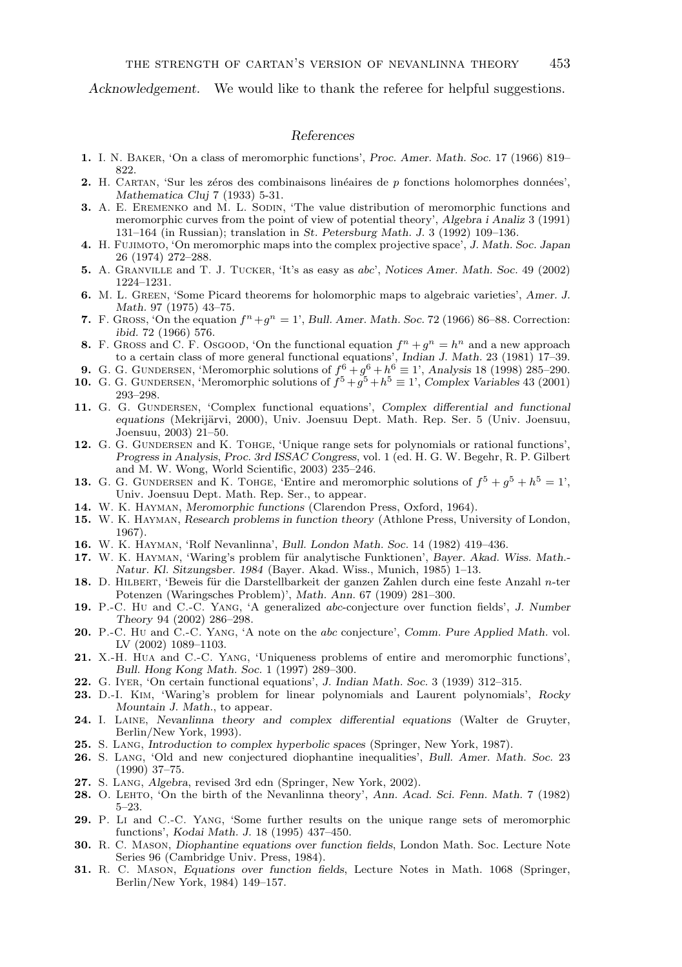*Acknowledgement.* We would like to thank the referee for helpful suggestions.

## *References*

- **1.** I. N. Baker, 'On a class of meromorphic functions', *Proc. Amer. Math. Soc.* 17 (1966) 819– 822.
- **2.** H. CARTAN, 'Sur les zéros des combinaisons linéaires de p fonctions holomorphes données', *Mathematica Cluj* 7 (1933) 5-31.
- **3.** A. E. EREMENKO and  $\overrightarrow{M}$ . L. SODIN, 'The value distribution of meromorphic functions and meromorphic curves from the point of view of potential theory', *Algebra i Analiz* 3 (1991) 131–164 (in Russian); translation in *St. Petersburg Math. J.* 3 (1992) 109–136.
- **4.** H. Fujimoto, 'On meromorphic maps into the complex projective space', *J. Math. Soc. Japan* 26 (1974) 272–288.
- **5.** A. Granville and T. J. Tucker, 'It's as easy as abc', *Notices Amer. Math. Soc.* 49 (2002) 1224–1231.
- **6.** M. L. Green, 'Some Picard theorems for holomorphic maps to algebraic varieties', *Amer. J. Math.* 97 (1975) 43–75.
- **7.** F. GROSS, 'On the equation  $f^n + a^n = 1$ ', *Bull. Amer. Math. Soc.* 72 (1966) 86–88. Correction: *ibid.* 72 (1966) 576.
- **8.** F. Gross and C. F. Osgood, 'On the functional equation  $f^n + g^n = h^n$  and a new approach
- to a certain class of more general functional equations', *Indian J. Math.* 23 (1981) 17–39.<br>**9.** G. G. Gundersen, 'Meromorphic solutions of  $f^6 + g^6 + h^6 \equiv 1$ ', *Analysis* 18 (1998) 285–290.
- **10.** G. G. GUNDERSEN, 'Meromorphic solutions of  $\tilde{f}^5 + \tilde{g}^5 + h^5 \equiv 1$ ', *Complex Variables* 43 (2001) 293–298.
- 11. G. G. GUNDERSEN, 'Complex functional equations', *Complex differential and functional equations* (Mekrijärvi, 2000), Univ. Joensuu Dept. Math. Rep. Ser. 5 (Univ. Joensuu, Joensuu, 2003) 21–50.
- 12. G. G. GUNDERSEN and K. TOHGE, 'Unique range sets for polynomials or rational functions', *Progress in Analysis*, *Proc. 3rd ISSAC Congress*, vol. 1 (ed. H. G. W. Begehr, R. P. Gilbert and M. W. Wong, World Scientific, 2003) 235–246.
- **13.** G. G. GUNDERSEN and K. TOHGE, 'Entire and meromorphic solutions of  $f^5 + g^5 + h^5 = 1'$ , Univ. Joensuu Dept. Math. Rep. Ser., to appear.
- **14.** W. K. Hayman, *Meromorphic functions* (Clarendon Press, Oxford, 1964).
- **15.** W. K. Hayman, *Research problems in function theory* (Athlone Press, University of London, 1967).
- **16.** W. K. Hayman, 'Rolf Nevanlinna', *Bull. London Math. Soc.* 14 (1982) 419–436.
- **17.** W. K. HAYMAN, 'Waring's problem für analytische Funktionen', *Bayer. Akad. Wiss. Math.*-*Natur. Kl. Sitzungsber. 1984* (Bayer. Akad. Wiss., Munich, 1985) 1–13.
- 18. D. HILBERT, 'Beweis für die Darstellbarkeit der ganzen Zahlen durch eine feste Anzahl n-ter Potenzen (Waringsches Problem)', *Math. Ann.* 67 (1909) 281–300.
- **19.** P.-C. Hu and C.-C. Yang, 'A generalized abc-conjecture over function fields', *J. Number Theory* 94 (2002) 286–298.
- **20.** P.-C. Hu and C.-C. Yang, 'A note on the abc conjecture', *Comm. Pure Applied Math.* vol. LV (2002) 1089–1103.
- **21.** X.-H. Hua and C.-C. Yang, 'Uniqueness problems of entire and meromorphic functions', *Bull. Hong Kong Math. Soc.* 1 (1997) 289–300.
- **22.** G. Iyer, 'On certain functional equations', *J. Indian Math. Soc.* 3 (1939) 312–315.
- **23.** D.-I. Kim, 'Waring's problem for linear polynomials and Laurent polynomials', *Rocky Mountain J. Math.*, to appear.
- **24.** I. Laine, *Nevanlinna theory and complex differential equations* (Walter de Gruyter, Berlin/New York, 1993).
- **25.** S. Lang, *Introduction to complex hyperbolic spaces* (Springer, New York, 1987).
- **26.** S. Lang, 'Old and new conjectured diophantine inequalities', *Bull. Amer. Math. Soc.* 23 (1990) 37–75.
- **27.** S. Lang, *Algebra*, revised 3rd edn (Springer, New York, 2002).
- **28.** O. Lehto, 'On the birth of the Nevanlinna theory', *Ann. Acad. Sci. Fenn. Math.* 7 (1982) 5–23.
- **29.** P. Li and C.-C. Yang, 'Some further results on the unique range sets of meromorphic functions', *Kodai Math. J.* 18 (1995) 437–450.
- **30.** R. C. Mason, *Diophantine equations over function fields*, London Math. Soc. Lecture Note Series 96 (Cambridge Univ. Press, 1984).
- **31.** R. C. Mason, *Equations over function fields*, Lecture Notes in Math. 1068 (Springer, Berlin/New York, 1984) 149–157.